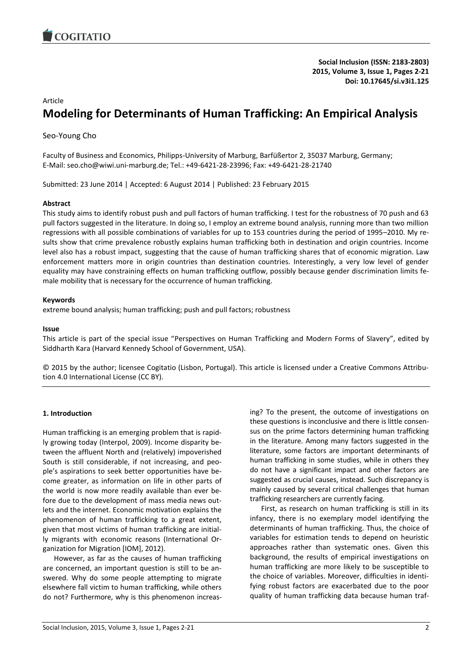

**Social Inclusion (ISSN: 2183-2803) 2015, Volume 3, Issue 1, Pages 2-21 Doi: 10.17645/si.v3i1.125**

## Article

# **Modeling for Determinants of Human Trafficking: An Empirical Analysis**

Seo-Young Cho

Faculty of Business and Economics, Philipps-University of Marburg, Barfüßertor 2, 35037 Marburg, Germany; E-Mail: seo.cho@wiwi.uni-marburg.de; Tel.: +49-6421-28-23996; Fax: +49-6421-28-21740

Submitted: 23 June 2014 | Accepted: 6 August 2014 | Published: 23 February 2015

#### **Abstract**

This study aims to identify robust push and pull factors of human trafficking. I test for the robustness of 70 push and 63 pull factors suggested in the literature. In doing so, I employ an extreme bound analysis, running more than two million regressions with all possible combinations of variables for up to 153 countries during the period of 1995–2010. My results show that crime prevalence robustly explains human trafficking both in destination and origin countries. Income level also has a robust impact, suggesting that the cause of human trafficking shares that of economic migration. Law enforcement matters more in origin countries than destination countries. Interestingly, a very low level of gender equality may have constraining effects on human trafficking outflow, possibly because gender discrimination limits female mobility that is necessary for the occurrence of human trafficking.

#### **Keywords**

extreme bound analysis; human trafficking; push and pull factors; robustness

#### **Issue**

This article is part of the special issue "Perspectives on Human Trafficking and Modern Forms of Slavery", edited by Siddharth Kara (Harvard Kennedy School of Government, USA).

© 2015 by the author; licensee Cogitatio (Lisbon, Portugal). This article is licensed under a Creative Commons Attribution 4.0 International License (CC BY).

## **1. Introduction**

Human trafficking is an emerging problem that is rapidly growing today (Interpol, 2009). Income disparity between the affluent North and (relatively) impoverished South is still considerable, if not increasing, and people's aspirations to seek better opportunities have become greater, as information on life in other parts of the world is now more readily available than ever before due to the development of mass media news outlets and the internet. Economic motivation explains the phenomenon of human trafficking to a great extent, given that most victims of human trafficking are initially migrants with economic reasons (International Organization for Migration [IOM], 2012).

However, as far as the causes of human trafficking are concerned, an important question is still to be answered. Why do some people attempting to migrate elsewhere fall victim to human trafficking, while others do not? Furthermore, why is this phenomenon increasing? To the present, the outcome of investigations on these questions is inconclusive and there is little consensus on the prime factors determining human trafficking in the literature. Among many factors suggested in the literature, some factors are important determinants of human trafficking in some studies, while in others they do not have a significant impact and other factors are suggested as crucial causes, instead. Such discrepancy is mainly caused by several critical challenges that human trafficking researchers are currently facing.

First, as research on human trafficking is still in its infancy, there is no exemplary model identifying the determinants of human trafficking. Thus, the choice of variables for estimation tends to depend on heuristic approaches rather than systematic ones. Given this background, the results of empirical investigations on human trafficking are more likely to be susceptible to the choice of variables. Moreover, difficulties in identifying robust factors are exacerbated due to the poor quality of human trafficking data because human traf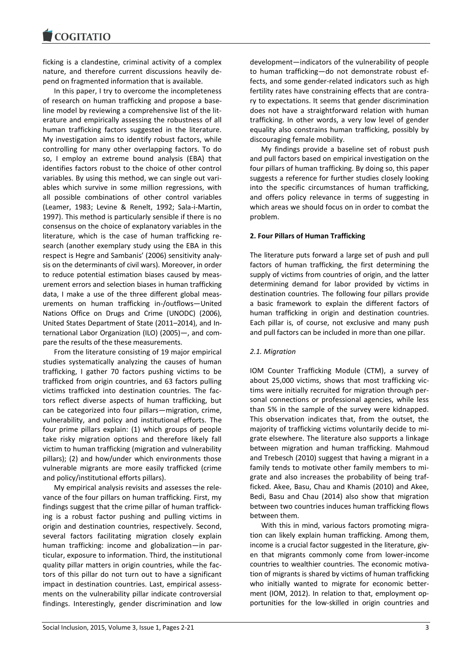ficking is a clandestine, criminal activity of a complex nature, and therefore current discussions heavily depend on fragmented information that is available.

In this paper, I try to overcome the incompleteness of research on human trafficking and propose a baseline model by reviewing a comprehensive list of the literature and empirically assessing the robustness of all human trafficking factors suggested in the literature. My investigation aims to identify robust factors, while controlling for many other overlapping factors. To do so, I employ an extreme bound analysis (EBA) that identifies factors robust to the choice of other control variables. By using this method, we can single out variables which survive in some million regressions, with all possible combinations of other control variables (Leamer, 1983; Levine & Renelt, 1992; Sala-i-Martin, 1997). This method is particularly sensible if there is no consensus on the choice of explanatory variables in the literature, which is the case of human trafficking research (another exemplary study using the EBA in this respect is Hegre and Sambanis' (2006) sensitivity analysis on the determinants of civil wars). Moreover, in order to reduce potential estimation biases caused by measurement errors and selection biases in human trafficking data, I make a use of the three different global measurements on human trafficking in-/outflows—United Nations Office on Drugs and Crime (UNODC) (2006), United States Department of State (2011–2014), and International Labor Organization (ILO) (2005)—, and compare the results of the these measurements.

From the literature consisting of 19 major empirical studies systematically analyzing the causes of human trafficking, I gather 70 factors pushing victims to be trafficked from origin countries, and 63 factors pulling victims trafficked into destination countries. The factors reflect diverse aspects of human trafficking, but can be categorized into four pillars—migration, crime, vulnerability, and policy and institutional efforts. The four prime pillars explain: (1) which groups of people take risky migration options and therefore likely fall victim to human trafficking (migration and vulnerability pillars); (2) and how/under which environments those vulnerable migrants are more easily trafficked (crime and policy/institutional efforts pillars).

My empirical analysis revisits and assesses the relevance of the four pillars on human trafficking. First, my findings suggest that the crime pillar of human trafficking is a robust factor pushing and pulling victims in origin and destination countries, respectively. Second, several factors facilitating migration closely explain human trafficking: income and globalization—in particular, exposure to information. Third, the institutional quality pillar matters in origin countries, while the factors of this pillar do not turn out to have a significant impact in destination countries. Last, empirical assessments on the vulnerability pillar indicate controversial findings. Interestingly, gender discrimination and low

development—indicators of the vulnerability of people to human trafficking—do not demonstrate robust effects, and some gender-related indicators such as high fertility rates have constraining effects that are contrary to expectations. It seems that gender discrimination does not have a straightforward relation with human trafficking. In other words, a very low level of gender equality also constrains human trafficking, possibly by discouraging female mobility.

My findings provide a baseline set of robust push and pull factors based on empirical investigation on the four pillars of human trafficking. By doing so, this paper suggests a reference for further studies closely looking into the specific circumstances of human trafficking, and offers policy relevance in terms of suggesting in which areas we should focus on in order to combat the problem.

## **2. Four Pillars of Human Trafficking**

The literature puts forward a large set of push and pull factors of human trafficking, the first determining the supply of victims from countries of origin, and the latter determining demand for labor provided by victims in destination countries. The following four pillars provide a basic framework to explain the different factors of human trafficking in origin and destination countries. Each pillar is, of course, not exclusive and many push and pull factors can be included in more than one pillar.

## *2.1. Migration*

IOM Counter Trafficking Module (CTM), a survey of about 25,000 victims, shows that most trafficking victims were initially recruited for migration through personal connections or professional agencies, while less than 5% in the sample of the survey were kidnapped. This observation indicates that, from the outset, the majority of trafficking victims voluntarily decide to migrate elsewhere. The literature also supports a linkage between migration and human trafficking. Mahmoud and Trebesch (2010) suggest that having a migrant in a family tends to motivate other family members to migrate and also increases the probability of being trafficked. Akee, Basu, Chau and Khamis (2010) and Akee, Bedi, Basu and Chau (2014) also show that migration between two countries induces human trafficking flows between them.

With this in mind, various factors promoting migration can likely explain human trafficking. Among them, income is a crucial factor suggested in the literature, given that migrants commonly come from lower-income countries to wealthier countries. The economic motivation of migrants is shared by victims of human trafficking who initially wanted to migrate for economic betterment (IOM, 2012). In relation to that, employment opportunities for the low-skilled in origin countries and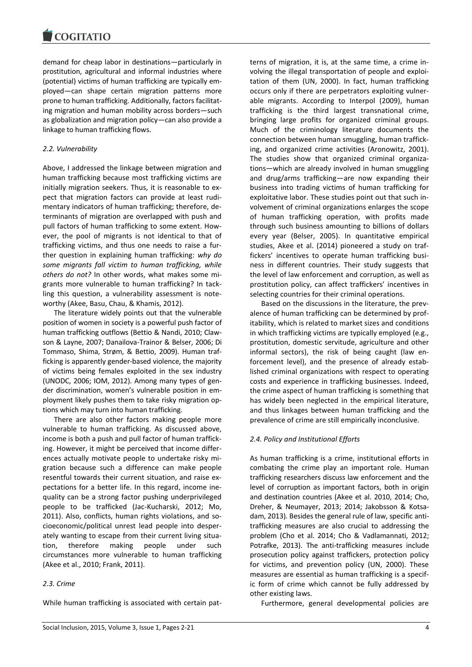demand for cheap labor in destinations—particularly in prostitution, agricultural and informal industries where (potential) victims of human trafficking are typically employed—can shape certain migration patterns more prone to human trafficking. Additionally, factors facilitating migration and human mobility across borders—such as globalization and migration policy—can also provide a linkage to human trafficking flows.

# *2.2. Vulnerability*

Above, I addressed the linkage between migration and human trafficking because most trafficking victims are initially migration seekers. Thus, it is reasonable to expect that migration factors can provide at least rudimentary indicators of human trafficking; therefore, determinants of migration are overlapped with push and pull factors of human trafficking to some extent. However, the pool of migrants is not identical to that of trafficking victims, and thus one needs to raise a further question in explaining human trafficking: *why do some migrants fall victim to human trafficking, while others do not?* In other words, what makes some migrants more vulnerable to human trafficking? In tackling this question, a vulnerability assessment is noteworthy (Akee, Basu, Chau, & Khamis, 2012).

The literature widely points out that the vulnerable position of women in society is a powerful push factor of human trafficking outflows (Bettio & Nandi, 2010; Clawson & Layne, 2007; Danailova-Trainor & Belser, 2006; Di Tommaso, Shima, Strøm, & Bettio, 2009). Human trafficking is apparently gender-based violence, the majority of victims being females exploited in the sex industry (UNODC, 2006; IOM, 2012). Among many types of gender discrimination, women's vulnerable position in employment likely pushes them to take risky migration options which may turn into human trafficking.

There are also other factors making people more vulnerable to human trafficking. As discussed above, income is both a push and pull factor of human trafficking. However, it might be perceived that income differences actually motivate people to undertake risky migration because such a difference can make people resentful towards their current situation, and raise expectations for a better life. In this regard, income inequality can be a strong factor pushing underprivileged people to be trafficked (Jac-Kucharski, 2012; Mo, 2011). Also, conflicts, human rights violations, and socioeconomic/political unrest lead people into desperately wanting to escape from their current living situation, therefore making people under such circumstances more vulnerable to human trafficking (Akee et al., 2010; Frank, 2011).

# *2.3. Crime*

While human trafficking is associated with certain pat-

terns of migration, it is, at the same time, a crime involving the illegal transportation of people and exploitation of them (UN, 2000). In fact, human trafficking occurs only if there are perpetrators exploiting vulnerable migrants. According to Interpol (2009), human trafficking is the third largest transnational crime, bringing large profits for organized criminal groups. Much of the criminology literature documents the connection between human smuggling, human trafficking, and organized crime activities (Aronowitz, 2001). The studies show that organized criminal organizations—which are already involved in human smuggling and drug/arms trafficking—are now expanding their business into trading victims of human trafficking for exploitative labor. These studies point out that such involvement of criminal organizations enlarges the scope of human trafficking operation, with profits made through such business amounting to billions of dollars every year (Belser, 2005). In quantitative empirical studies, Akee et al. (2014) pioneered a study on traffickers' incentives to operate human trafficking business in different countries. Their study suggests that the level of law enforcement and corruption, as well as prostitution policy, can affect traffickers' incentives in selecting countries for their criminal operations.

Based on the discussions in the literature, the prevalence of human trafficking can be determined by profitability, which is related to market sizes and conditions in which trafficking victims are typically employed (e.g., prostitution, domestic servitude, agriculture and other informal sectors), the risk of being caught (law enforcement level), and the presence of already established criminal organizations with respect to operating costs and experience in trafficking businesses. Indeed, the crime aspect of human trafficking is something that has widely been neglected in the empirical literature, and thus linkages between human trafficking and the prevalence of crime are still empirically inconclusive.

## *2.4. Policy and Institutional Efforts*

As human trafficking is a crime, institutional efforts in combating the crime play an important role. Human trafficking researchers discuss law enforcement and the level of corruption as important factors, both in origin and destination countries (Akee et al. 2010, 2014; Cho, Dreher, & Neumayer, 2013; 2014; Jakobsson & Kotsadam, 2013). Besides the general rule of law, specific antitrafficking measures are also crucial to addressing the problem (Cho et al. 2014; Cho & Vadlamannati, 2012; Potrafke, 2013). The anti-trafficking measures include prosecution policy against traffickers, protection policy for victims, and prevention policy (UN, 2000). These measures are essential as human trafficking is a specific form of crime which cannot be fully addressed by other existing laws.

Furthermore, general developmental policies are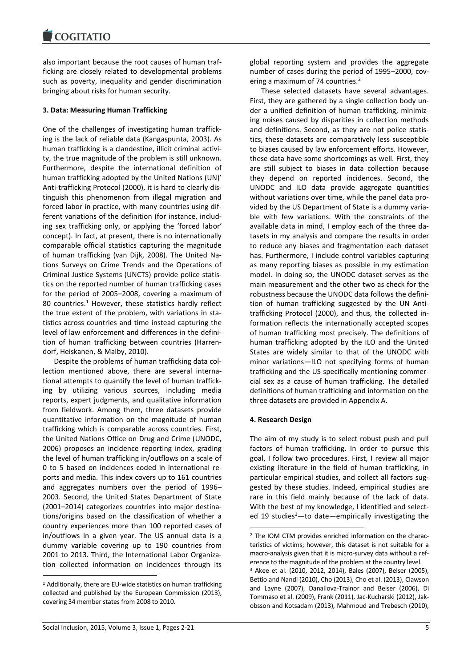also important because the root causes of human trafficking are closely related to developmental problems such as poverty, inequality and gender discrimination bringing about risks for human security.

# **3. Data: Measuring Human Trafficking**

One of the challenges of investigating human trafficking is the lack of reliable data (Kangaspunta, 2003). As human trafficking is a clandestine, illicit criminal activity, the true magnitude of the problem is still unknown. Furthermore, despite the international definition of human trafficking adopted by the United Nations (UN)' Anti-trafficking Protocol (2000), it is hard to clearly distinguish this phenomenon from illegal migration and forced labor in practice, with many countries using different variations of the definition (for instance, including sex trafficking only, or applying the 'forced labor' concept). In fact, at present, there is no internationally comparable official statistics capturing the magnitude of human trafficking (van Dijk, 2008). The United Nations Surveys on Crime Trends and the Operations of Criminal Justice Systems (UNCTS) provide police statistics on the reported number of human trafficking cases for the period of 2005–2008, covering a maximum of 80 countries. $<sup>1</sup>$  However, these statistics hardly reflect</sup> the true extent of the problem, with variations in statistics across countries and time instead capturing the level of law enforcement and differences in the definition of human trafficking between countries (Harrendorf, Heiskanen, & Malby, 2010).

Despite the problems of human trafficking data collection mentioned above, there are several international attempts to quantify the level of human trafficking by utilizing various sources, including media reports, expert judgments, and qualitative information from fieldwork. Among them, three datasets provide quantitative information on the magnitude of human trafficking which is comparable across countries. First, the United Nations Office on Drug and Crime (UNODC, 2006) proposes an incidence reporting index, grading the level of human trafficking in/outflows on a scale of 0 to 5 based on incidences coded in international reports and media. This index covers up to 161 countries and aggregates numbers over the period of 1996– 2003. Second, the United States Department of State (2001–2014) categorizes countries into major destinations/origins based on the classification of whether a country experiences more than 100 reported cases of in/outflows in a given year. The US annual data is a dummy variable covering up to 190 countries from 2001 to 2013. Third, the International Labor Organization collected information on incidences through its global reporting system and provides the aggregate number of cases during the period of 1995–2000, covering a maximum of 74 countries.<sup>2</sup>

These selected datasets have several advantages. First, they are gathered by a single collection body under a unified definition of human trafficking, minimizing noises caused by disparities in collection methods and definitions. Second, as they are not police statistics, these datasets are comparatively less susceptible to biases caused by law enforcement efforts. However, these data have some shortcomings as well. First, they are still subject to biases in data collection because they depend on reported incidences. Second, the UNODC and ILO data provide aggregate quantities without variations over time, while the panel data provided by the US Department of State is a dummy variable with few variations. With the constraints of the available data in mind, I employ each of the three datasets in my analysis and compare the results in order to reduce any biases and fragmentation each dataset has. Furthermore, I include control variables capturing as many reporting biases as possible in my estimation model. In doing so, the UNODC dataset serves as the main measurement and the other two as check for the robustness because the UNODC data follows the definition of human trafficking suggested by the UN Antitrafficking Protocol (2000), and thus, the collected information reflects the internationally accepted scopes of human trafficking most precisely. The definitions of human trafficking adopted by the ILO and the United States are widely similar to that of the UNODC with minor variations—ILO not specifying forms of human trafficking and the US specifically mentioning commercial sex as a cause of human trafficking. The detailed definitions of human trafficking and information on the three datasets are provided in Appendix A.

## **4. Research Design**

1

The aim of my study is to select robust push and pull factors of human trafficking. In order to pursue this goal, I follow two procedures. First, I review all major existing literature in the field of human trafficking, in particular empirical studies, and collect all factors suggested by these studies. Indeed, empirical studies are rare in this field mainly because of the lack of data. With the best of my knowledge, I identified and selected 19 studies<sup>3</sup>-to date-empirically investigating the

1

<sup>1</sup> Additionally, there are EU-wide statistics on human trafficking collected and published by the European Commission (2013), covering 34 member states from 2008 to 2010.

<sup>2</sup> The IOM CTM provides enriched information on the characteristics of victims; however, this dataset is not suitable for a macro-analysis given that it is micro-survey data without a reference to the magnitude of the problem at the country level. <sup>3</sup> Akee et al. (2010, 2012, 2014), Bales (2007), Belser (2005), Bettio and Nandi (2010), Cho (2013), Cho et al. (2013), Clawson and Layne (2007), Danailova-Trainor and Belser (2006), Di Tommaso et al. (2009), Frank (2011), Jac-Kucharski (2012), Jakobsson and Kotsadam (2013), Mahmoud and Trebesch (2010),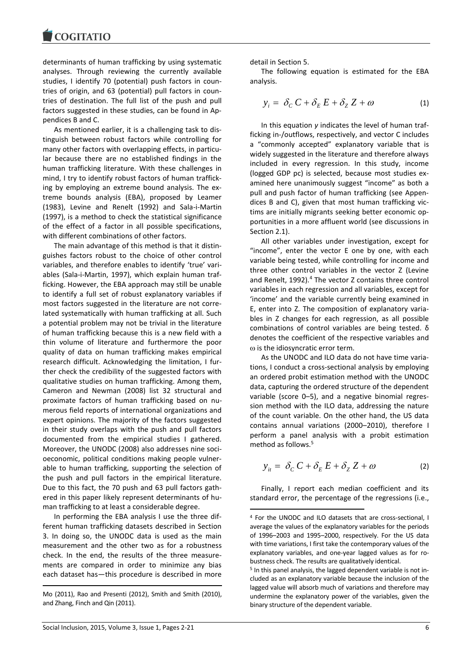determinants of human trafficking by using systematic analyses. Through reviewing the currently available studies, I identify 70 (potential) push factors in countries of origin, and 63 (potential) pull factors in countries of destination. The full list of the push and pull factors suggested in these studies, can be found in Appendices B and C.

As mentioned earlier, it is a challenging task to distinguish between robust factors while controlling for many other factors with overlapping effects, in particular because there are no established findings in the human trafficking literature. With these challenges in mind, I try to identify robust factors of human trafficking by employing an extreme bound analysis. The extreme bounds analysis (EBA), proposed by Leamer (1983), Levine and Renelt (1992) and Sala-i-Martin (1997), is a method to check the statistical significance of the effect of a factor in all possible specifications, with different combinations of other factors.

The main advantage of this method is that it distinguishes factors robust to the choice of other control variables, and therefore enables to identify 'true' variables (Sala-i-Martin, 1997), which explain human trafficking. However, the EBA approach may still be unable to identify a full set of robust explanatory variables if most factors suggested in the literature are not correlated systematically with human trafficking at all. Such a potential problem may not be trivial in the literature of human trafficking because this is a new field with a thin volume of literature and furthermore the poor quality of data on human trafficking makes empirical research difficult. Acknowledging the limitation, I further check the credibility of the suggested factors with qualitative studies on human trafficking. Among them, Cameron and Newman (2008) list 32 structural and proximate factors of human trafficking based on numerous field reports of international organizations and expert opinions. The majority of the factors suggested in their study overlaps with the push and pull factors documented from the empirical studies I gathered. Moreover, the UNODC (2008) also addresses nine socioeconomic, political conditions making people vulnerable to human trafficking, supporting the selection of the push and pull factors in the empirical literature. Due to this fact, the 70 push and 63 pull factors gathered in this paper likely represent determinants of human trafficking to at least a considerable degree.

In performing the EBA analysis I use the three different human trafficking datasets described in Section 3. In doing so, the UNODC data is used as the main measurement and the other two as for a robustness check. In the end, the results of the three measurements are compared in order to minimize any bias each dataset has—this procedure is described in more

Mo (2011), Rao and Presenti (2012), Smith and Smith (2010), and Zhang, Finch and Qin (2011).

detail in Section 5.

The following equation is estimated for the EBA analysis.

$$
y_i = \delta_C C + \delta_E E + \delta_Z Z + \omega \tag{1}
$$

In this equation *y* indicates the level of human trafficking in-/outflows, respectively, and vector C includes a "commonly accepted" explanatory variable that is widely suggested in the literature and therefore always included in every regression. In this study, income (logged GDP pc) is selected, because most studies examined here unanimously suggest "income" as both a pull and push factor of human trafficking (see Appendices B and C), given that most human trafficking victims are initially migrants seeking better economic opportunities in a more affluent world (see discussions in Section 2.1).

All other variables under investigation, except for "income", enter the vector E one by one, with each variable being tested, while controlling for income and three other control variables in the vector Z (Levine and Renelt, 1992).<sup>4</sup> The vector Z contains three control variables in each regression and all variables, except for 'income' and the variable currently being examined in E, enter into Z. The composition of explanatory variables in Z changes for each regression, as all possible combinations of control variables are being tested. δ denotes the coefficient of the respective variables and  $\omega$  is the idiosyncratic error term.

As the UNODC and ILO data do not have time variations, I conduct a cross-sectional analysis by employing an ordered probit estimation method with the UNODC data, capturing the ordered structure of the dependent variable (score 0–5), and a negative binomial regression method with the ILO data, addressing the nature of the count variable. On the other hand, the US data contains annual variations (2000–2010), therefore I perform a panel analysis with a probit estimation method as follows.<sup>5</sup>

$$
y_{it} = \delta_C C + \delta_E E + \delta_Z Z + \omega \tag{2}
$$

Finally, I report each median coefficient and its standard error, the percentage of the regressions (i.e.,

1

**.** 

<sup>4</sup> For the UNODC and ILO datasets that are cross-sectional, I average the values of the explanatory variables for the periods of 1996–2003 and 1995–2000, respectively. For the US data with time variations, I first take the contemporary values of the explanatory variables, and one-year lagged values as for robustness check. The results are qualitatively identical.

<sup>5</sup> In this panel analysis, the lagged dependent variable is not included as an explanatory variable because the inclusion of the lagged value will absorb much of variations and therefore may undermine the explanatory power of the variables, given the binary structure of the dependent variable.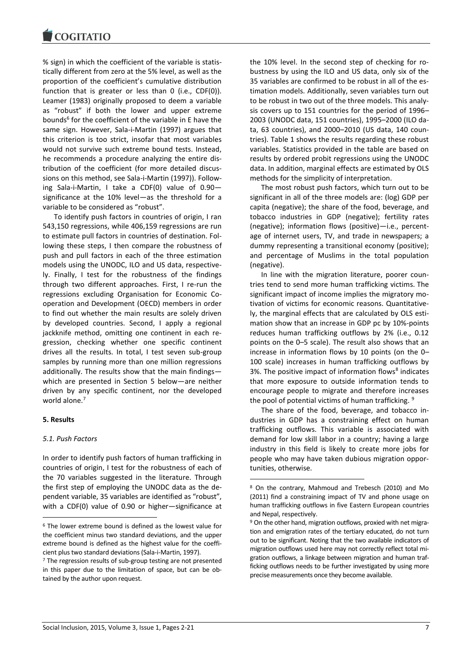% sign) in which the coefficient of the variable is statistically different from zero at the 5% level, as well as the proportion of the coefficient's cumulative distribution function that is greater or less than 0 (i.e., CDF(0)). Leamer (1983) originally proposed to deem a variable as "robust" if both the lower and upper extreme bounds<sup>6</sup> for the coefficient of the variable in E have the same sign. However, Sala-i-Martin (1997) argues that this criterion is too strict, insofar that most variables would not survive such extreme bound tests. Instead, he recommends a procedure analyzing the entire distribution of the coefficient (for more detailed discussions on this method, see Sala-i-Martin (1997)). Following Sala-i-Martin, I take a CDF(0) value of 0.90 significance at the 10% level—as the threshold for a variable to be considered as "robust".

To identify push factors in countries of origin, I ran 543,150 regressions, while 406,159 regressions are run to estimate pull factors in countries of destination. Following these steps, I then compare the robustness of push and pull factors in each of the three estimation models using the UNODC, ILO and US data, respectively. Finally, I test for the robustness of the findings through two different approaches. First, I re-run the regressions excluding Organisation for Economic Cooperation and Development (OECD) members in order to find out whether the main results are solely driven by developed countries. Second, I apply a regional jackknife method, omitting one continent in each regression, checking whether one specific continent drives all the results. In total, I test seven sub-group samples by running more than one million regressions additionally. The results show that the main findings which are presented in Section 5 below—are neither driven by any specific continent, nor the developed world alone.<sup>7</sup>

#### **5. Results**

1

#### *5.1. Push Factors*

In order to identify push factors of human trafficking in countries of origin, I test for the robustness of each of the 70 variables suggested in the literature. Through the first step of employing the UNODC data as the dependent variable, 35 variables are identified as "robust", with a CDF(0) value of 0.90 or higher—significance at the 10% level. In the second step of checking for robustness by using the ILO and US data, only six of the 35 variables are confirmed to be robust in all of the estimation models. Additionally, seven variables turn out to be robust in two out of the three models. This analysis covers up to 151 countries for the period of 1996– 2003 (UNODC data, 151 countries), 1995–2000 (ILO data, 63 countries), and 2000–2010 (US data, 140 countries). Table 1 shows the results regarding these robust variables. Statistics provided in the table are based on results by ordered probit regressions using the UNODC data. In addition, marginal effects are estimated by OLS methods for the simplicity of interpretation.

The most robust push factors, which turn out to be significant in all of the three models are: (log) GDP per capita (negative); the share of the food, beverage, and tobacco industries in GDP (negative); fertility rates (negative); information flows (positive)—i.e., percentage of internet users, TV, and trade in newspapers; a dummy representing a transitional economy (positive); and percentage of Muslims in the total population (negative).

In line with the migration literature, poorer countries tend to send more human trafficking victims. The significant impact of income implies the migratory motivation of victims for economic reasons. Quantitatively, the marginal effects that are calculated by OLS estimation show that an increase in GDP pc by 10%-points reduces human trafficking outflows by 2% (i.e., 0.12 points on the 0–5 scale). The result also shows that an increase in information flows by 10 points (on the 0– 100 scale) increases in human trafficking outflows by 3%. The positive impact of information flows<sup>8</sup> indicates that more exposure to outside information tends to encourage people to migrate and therefore increases the pool of potential victims of human trafficking. <sup>9</sup>

The share of the food, beverage, and tobacco industries in GDP has a constraining effect on human trafficking outflows. This variable is associated with demand for low skill labor in a country; having a large industry in this field is likely to create more jobs for people who may have taken dubious migration opportunities, otherwise.

 $\overline{a}$ 

<sup>6</sup> The lower extreme bound is defined as the lowest value for the coefficient minus two standard deviations, and the upper extreme bound is defined as the highest value for the coefficient plus two standard deviations (Sala-i-Martin, 1997).

<sup>&</sup>lt;sup>7</sup> The regression results of sub-group testing are not presented in this paper due to the limitation of space, but can be obtained by the author upon request.

<sup>8</sup> On the contrary, Mahmoud and Trebesch (2010) and Mo (2011) find a constraining impact of TV and phone usage on human trafficking outflows in five Eastern European countries and Nepal, respectively.

<sup>&</sup>lt;sup>9</sup> On the other hand, migration outflows, proxied with net migration and emigration rates of the tertiary educated, do not turn out to be significant. Noting that the two available indicators of migration outflows used here may not correctly reflect total migration outflows, a linkage between migration and human trafficking outflows needs to be further investigated by using more precise measurements once they become available.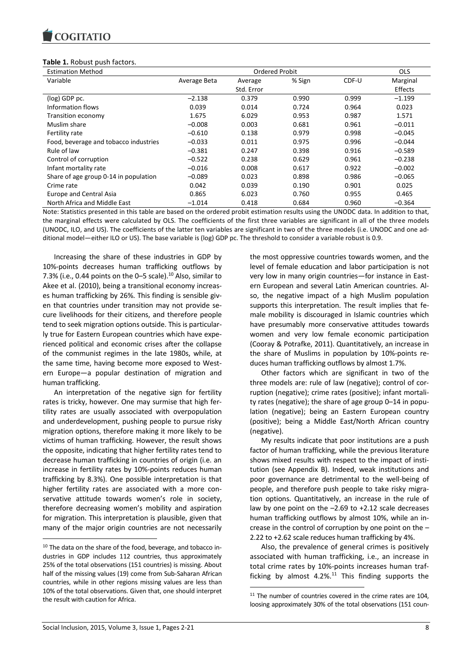## **Table 1.** Robust push factors.

| <b>Estimation Method</b>              |              | <b>Ordered Probit</b> |        |       | <b>OLS</b> |
|---------------------------------------|--------------|-----------------------|--------|-------|------------|
| Variable                              | Average Beta | Average               | % Sign | CDF-U | Marginal   |
|                                       |              | Std. Error            |        |       | Effects    |
| (log) GDP pc.                         | $-2.138$     | 0.379                 | 0.990  | 0.999 | $-1.199$   |
| Information flows                     | 0.039        | 0.014                 | 0.724  | 0.964 | 0.023      |
| Transition economy                    | 1.675        | 6.029                 | 0.953  | 0.987 | 1.571      |
| Muslim share                          | $-0.008$     | 0.003                 | 0.681  | 0.961 | $-0.011$   |
| Fertility rate                        | $-0.610$     | 0.138                 | 0.979  | 0.998 | $-0.045$   |
| Food, beverage and tobacco industries | $-0.033$     | 0.011                 | 0.975  | 0.996 | $-0.044$   |
| Rule of law                           | $-0.381$     | 0.247                 | 0.398  | 0.916 | $-0.589$   |
| Control of corruption                 | $-0.522$     | 0.238                 | 0.629  | 0.961 | $-0.238$   |
| Infant mortality rate                 | $-0.016$     | 0.008                 | 0.617  | 0.922 | $-0.002$   |
| Share of age group 0-14 in population | $-0.089$     | 0.023                 | 0.898  | 0.986 | $-0.065$   |
| Crime rate                            | 0.042        | 0.039                 | 0.190  | 0.901 | 0.025      |
| <b>Europe and Central Asia</b>        | 0.865        | 6.023                 | 0.760  | 0.955 | 0.465      |
| North Africa and Middle East          | $-1.014$     | 0.418                 | 0.684  | 0.960 | $-0.364$   |

Note: Statistics presented in this table are based on the ordered probit estimation results using the UNODC data. In addition to that, the marginal effects were calculated by OLS. The coefficients of the first three variables are significant in all of the three models (UNODC, ILO, and US). The coefficients of the latter ten variables are significant in two of the three models (i.e. UNODC and one additional model—either ILO or US). The base variable is (log) GDP pc. The threshold to consider a variable robust is 0.9.

**.** 

Increasing the share of these industries in GDP by 10%-points decreases human trafficking outflows by 7.3% (i.e., 0.44 points on the  $0-5$  scale).<sup>10</sup> Also, similar to Akee et al. (2010), being a transitional economy increases human trafficking by 26%. This finding is sensible given that countries under transition may not provide secure livelihoods for their citizens, and therefore people tend to seek migration options outside. This is particularly true for Eastern European countries which have experienced political and economic crises after the collapse of the communist regimes in the late 1980s, while, at the same time, having become more exposed to Western Europe—a popular destination of migration and human trafficking.

An interpretation of the negative sign for fertility rates is tricky, however. One may surmise that high fertility rates are usually associated with overpopulation and underdevelopment, pushing people to pursue risky migration options, therefore making it more likely to be victims of human trafficking. However, the result shows the opposite, indicating that higher fertility rates tend to decrease human trafficking in countries of origin (i.e. an increase in fertility rates by 10%-points reduces human trafficking by 8.3%). One possible interpretation is that higher fertility rates are associated with a more conservative attitude towards women's role in society, therefore decreasing women's mobility and aspiration for migration. This interpretation is plausible, given that many of the major origin countries are not necessarily

the most oppressive countries towards women, and the level of female education and labor participation is not very low in many origin countries—for instance in Eastern European and several Latin American countries. Also, the negative impact of a high Muslim population supports this interpretation. The result implies that female mobility is discouraged in Islamic countries which have presumably more conservative attitudes towards women and very low female economic participation (Cooray & Potrafke, 2011). Quantitatively, an increase in the share of Muslims in population by 10%-points reduces human trafficking outflows by almost 1.7%.

Other factors which are significant in two of the three models are: rule of law (negative); control of corruption (negative); crime rates (positive); infant mortality rates (negative); the share of age group 0–14 in population (negative); being an Eastern European country (positive); being a Middle East/North African country (negative).

My results indicate that poor institutions are a push factor of human trafficking, while the previous literature shows mixed results with respect to the impact of institution (see Appendix B). Indeed, weak institutions and poor governance are detrimental to the well-being of people, and therefore push people to take risky migration options. Quantitatively, an increase in the rule of law by one point on the –2.69 to +2.12 scale decreases human trafficking outflows by almost 10%, while an increase in the control of corruption by one point on the – 2.22 to +2.62 scale reduces human trafficking by 4%.

Also, the prevalence of general crimes is positively associated with human trafficking, i.e., an increase in total crime rates by 10%-points increases human trafficking by almost  $4.2\%$ .<sup>11</sup> This finding supports the

**.** 

<sup>10</sup> The data on the share of the food, beverage, and tobacco industries in GDP includes 112 countries, thus approximately 25% of the total observations (151 countries) is missing. About half of the missing values (19) come from Sub-Saharan African countries, while in other regions missing values are less than 10% of the total observations. Given that, one should interpret the result with caution for Africa.

 $11$  The number of countries covered in the crime rates are 104, loosing approximately 30% of the total observations (151 coun-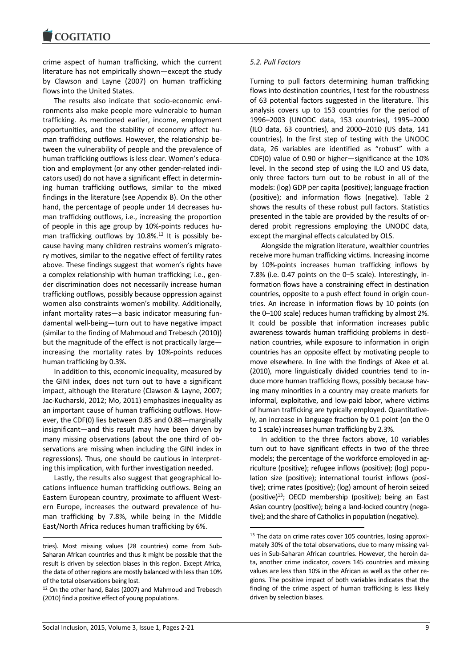crime aspect of human trafficking, which the current literature has not empirically shown—except the study by Clawson and Layne (2007) on human trafficking flows into the United States.

The results also indicate that socio-economic environments also make people more vulnerable to human trafficking. As mentioned earlier, income, employment opportunities, and the stability of economy affect human trafficking outflows. However, the relationship between the vulnerability of people and the prevalence of human trafficking outflows is less clear. Women's education and employment (or any other gender-related indicators used) do not have a significant effect in determining human trafficking outflows, similar to the mixed findings in the literature (see Appendix B). On the other hand, the percentage of people under 14 decreases human trafficking outflows, i.e., increasing the proportion of people in this age group by 10%-points reduces human trafficking outflows by  $10.8\%$ .<sup>12</sup> It is possibly because having many children restrains women's migratory motives, similar to the negative effect of fertility rates above. These findings suggest that women's rights have a complex relationship with human trafficking; i.e., gender discrimination does not necessarily increase human trafficking outflows, possibly because oppression against women also constraints women's mobility. Additionally, infant mortality rates—a basic indicator measuring fundamental well-being—turn out to have negative impact (similar to the finding of Mahmoud and Trebesch (2010)) but the magnitude of the effect is not practically large increasing the mortality rates by 10%-points reduces human trafficking by 0.3%.

In addition to this, economic inequality, measured by the GINI index, does not turn out to have a significant impact, although the literature (Clawson & Layne, 2007; Jac-Kucharski, 2012; Mo, 2011) emphasizes inequality as an important cause of human trafficking outflows. However, the CDF(0) lies between 0.85 and 0.88—marginally insignificant—and this result may have been driven by many missing observations (about the one third of observations are missing when including the GINI index in regressions). Thus, one should be cautious in interpreting this implication, with further investigation needed.

Lastly, the results also suggest that geographical locations influence human trafficking outflows. Being an Eastern European country, proximate to affluent Western Europe, increases the outward prevalence of human trafficking by 7.8%, while being in the Middle East/North Africa reduces human trafficking by 6%.

#### *5.2. Pull Factors*

Turning to pull factors determining human trafficking flows into destination countries, I test for the robustness of 63 potential factors suggested in the literature. This analysis covers up to 153 countries for the period of 1996–2003 (UNODC data, 153 countries), 1995–2000 (ILO data, 63 countries), and 2000–2010 (US data, 141 countries). In the first step of testing with the UNODC data, 26 variables are identified as "robust" with a CDF(0) value of 0.90 or higher—significance at the 10% level. In the second step of using the ILO and US data, only three factors turn out to be robust in all of the models: (log) GDP per capita (positive); language fraction (positive); and information flows (negative). Table 2 shows the results of these robust pull factors. Statistics presented in the table are provided by the results of ordered probit regressions employing the UNODC data, except the marginal effects calculated by OLS.

Alongside the migration literature, wealthier countries receive more human trafficking victims. Increasing income by 10%-points increases human trafficking inflows by 7.8% (i.e. 0.47 points on the 0–5 scale). Interestingly, information flows have a constraining effect in destination countries, opposite to a push effect found in origin countries. An increase in information flows by 10 points (on the 0–100 scale) reduces human trafficking by almost 2%. It could be possible that information increases public awareness towards human trafficking problems in destination countries, while exposure to information in origin countries has an opposite effect by motivating people to move elsewhere. In line with the findings of Akee et al. (2010), more linguistically divided countries tend to induce more human trafficking flows, possibly because having many minorities in a country may create markets for informal, exploitative, and low-paid labor, where victims of human trafficking are typically employed. Quantitatively, an increase in language fraction by 0.1 point (on the 0 to 1 scale) increases human trafficking by 2.3%.

In addition to the three factors above, 10 variables turn out to have significant effects in two of the three models; the percentage of the workforce employed in agriculture (positive); refugee inflows (positive); (log) population size (positive); international tourist inflows (positive); crime rates (positive); (log) amount of heroin seized (positive)<sup>13</sup>; OECD membership (positive); being an East Asian country (positive); being a land-locked country (negative); and the share of Catholics in population (negative).

**.** 

1

tries). Most missing values (28 countries) come from Sub-Saharan African countries and thus it might be possible that the result is driven by selection biases in this region. Except Africa, the data of other regions are mostly balanced with less than 10% of the total observations being lost.

<sup>12</sup> On the other hand, Bales (2007) and Mahmoud and Trebesch (2010) find a positive effect of young populations.

<sup>&</sup>lt;sup>13</sup> The data on crime rates cover 105 countries, losing approximately 30% of the total observations, due to many missing values in Sub-Saharan African countries. However, the heroin data, another crime indicator, covers 145 countries and missing values are less than 10% in the African as well as the other regions. The positive impact of both variables indicates that the finding of the crime aspect of human trafficking is less likely driven by selection biases.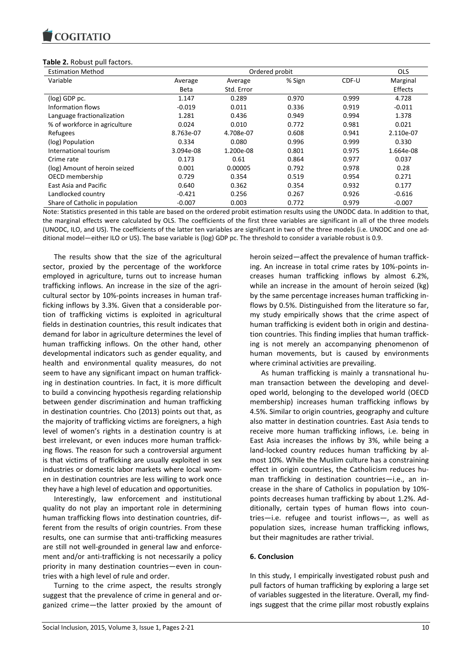

#### **Table 2.** Robust pull factors.

| <b>Estimation Method</b>        |             |            | Ordered probit |       | <b>OLS</b> |
|---------------------------------|-------------|------------|----------------|-------|------------|
| Variable                        | Average     | Average    | % Sign         | CDF-U | Marginal   |
|                                 | <b>Beta</b> | Std. Error |                |       | Effects    |
| (log) GDP pc.                   | 1.147       | 0.289      | 0.970          | 0.999 | 4.728      |
| Information flows               | $-0.019$    | 0.011      | 0.336          | 0.919 | $-0.011$   |
| Language fractionalization      | 1.281       | 0.436      | 0.949          | 0.994 | 1.378      |
| % of workforce in agriculture   | 0.024       | 0.010      | 0.772          | 0.981 | 0.021      |
| Refugees                        | 8.763e-07   | 4.708e-07  | 0.608          | 0.941 | 2.110e-07  |
| (log) Population                | 0.334       | 0.080      | 0.996          | 0.999 | 0.330      |
| International tourism           | 3.094e-08   | 1.200e-08  | 0.801          | 0.975 | 1.664e-08  |
| Crime rate                      | 0.173       | 0.61       | 0.864          | 0.977 | 0.037      |
| (log) Amount of heroin seized   | 0.001       | 0.00005    | 0.792          | 0.978 | 0.28       |
| OECD membership                 | 0.729       | 0.354      | 0.519          | 0.954 | 0.271      |
| East Asia and Pacific           | 0.640       | 0.362      | 0.354          | 0.932 | 0.177      |
| Landlocked country              | $-0.421$    | 0.256      | 0.267          | 0.926 | $-0.616$   |
| Share of Catholic in population | $-0.007$    | 0.003      | 0.772          | 0.979 | $-0.007$   |

Note: Statistics presented in this table are based on the ordered probit estimation results using the UNODC data. In addition to that, the marginal effects were calculated by OLS. The coefficients of the first three variables are significant in all of the three models (UNODC, ILO, and US). The coefficients of the latter ten variables are significant in two of the three models (i.e. UNODC and one additional model—either ILO or US). The base variable is (log) GDP pc. The threshold to consider a variable robust is 0.9.

The results show that the size of the agricultural sector, proxied by the percentage of the workforce employed in agriculture, turns out to increase human trafficking inflows. An increase in the size of the agricultural sector by 10%-points increases in human trafficking inflows by 3.3%. Given that a considerable portion of trafficking victims is exploited in agricultural fields in destination countries, this result indicates that demand for labor in agriculture determines the level of human trafficking inflows. On the other hand, other developmental indicators such as gender equality, and health and environmental quality measures, do not seem to have any significant impact on human trafficking in destination countries. In fact, it is more difficult to build a convincing hypothesis regarding relationship between gender discrimination and human trafficking in destination countries. Cho (2013) points out that, as the majority of trafficking victims are foreigners, a high level of women's rights in a destination country is at best irrelevant, or even induces more human trafficking flows. The reason for such a controversial argument is that victims of trafficking are usually exploited in sex industries or domestic labor markets where local women in destination countries are less willing to work once they have a high level of education and opportunities.

Interestingly, law enforcement and institutional quality do not play an important role in determining human trafficking flows into destination countries, different from the results of origin countries. From these results, one can surmise that anti-trafficking measures are still not well-grounded in general law and enforcement and/or anti-trafficking is not necessarily a policy priority in many destination countries—even in countries with a high level of rule and order.

Turning to the crime aspect, the results strongly suggest that the prevalence of crime in general and organized crime—the latter proxied by the amount of heroin seized—affect the prevalence of human trafficking. An increase in total crime rates by 10%-points increases human trafficking inflows by almost 6.2%, while an increase in the amount of heroin seized (kg) by the same percentage increases human trafficking inflows by 0.5%. Distinguished from the literature so far, my study empirically shows that the crime aspect of human trafficking is evident both in origin and destination countries. This finding implies that human trafficking is not merely an accompanying phenomenon of human movements, but is caused by environments where criminal activities are prevailing.

As human trafficking is mainly a transnational human transaction between the developing and developed world, belonging to the developed world (OECD membership) increases human trafficking inflows by 4.5%. Similar to origin countries, geography and culture also matter in destination countries. East Asia tends to receive more human trafficking inflows, i.e. being in East Asia increases the inflows by 3%, while being a land-locked country reduces human trafficking by almost 10%. While the Muslim culture has a constraining effect in origin countries, the Catholicism reduces human trafficking in destination countries—i.e., an increase in the share of Catholics in population by 10% points decreases human trafficking by about 1.2%. Additionally, certain types of human flows into countries—i.e. refugee and tourist inflows—, as well as population sizes, increase human trafficking inflows, but their magnitudes are rather trivial.

## **6. Conclusion**

In this study, I empirically investigated robust push and pull factors of human trafficking by exploring a large set of variables suggested in the literature. Overall, my findings suggest that the crime pillar most robustly explains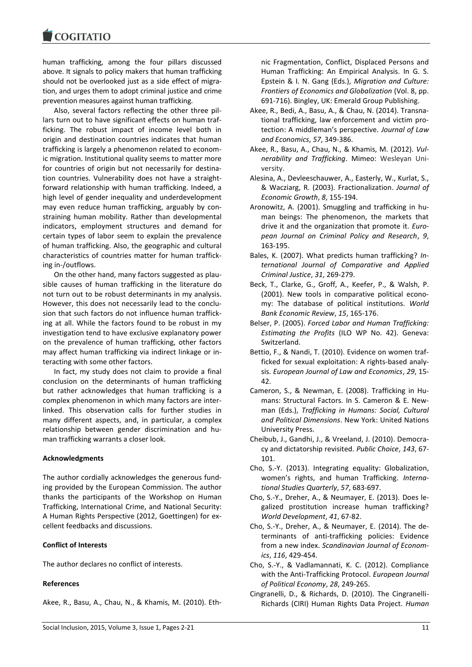human trafficking, among the four pillars discussed above. It signals to policy makers that human trafficking should not be overlooked just as a side effect of migration, and urges them to adopt criminal justice and crime prevention measures against human trafficking.

Also, several factors reflecting the other three pillars turn out to have significant effects on human trafficking. The robust impact of income level both in origin and destination countries indicates that human trafficking is largely a phenomenon related to economic migration. Institutional quality seems to matter more for countries of origin but not necessarily for destination countries. Vulnerability does not have a straightforward relationship with human trafficking. Indeed, a high level of gender inequality and underdevelopment may even reduce human trafficking, arguably by constraining human mobility. Rather than developmental indicators, employment structures and demand for certain types of labor seem to explain the prevalence of human trafficking. Also, the geographic and cultural characteristics of countries matter for human trafficking in-/outflows.

On the other hand, many factors suggested as plausible causes of human trafficking in the literature do not turn out to be robust determinants in my analysis. However, this does not necessarily lead to the conclusion that such factors do not influence human trafficking at all. While the factors found to be robust in my investigation tend to have exclusive explanatory power on the prevalence of human trafficking, other factors may affect human trafficking via indirect linkage or interacting with some other factors.

In fact, my study does not claim to provide a final conclusion on the determinants of human trafficking but rather acknowledges that human trafficking is a complex phenomenon in which many factors are interlinked. This observation calls for further studies in many different aspects, and, in particular, a complex relationship between gender discrimination and human trafficking warrants a closer look.

## **Acknowledgments**

The author cordially acknowledges the generous funding provided by the European Commission. The author thanks the participants of the Workshop on Human Trafficking, International Crime, and National Security: A Human Rights Perspective (2012, Goettingen) for excellent feedbacks and discussions.

#### **Conflict of Interests**

The author declares no conflict of interests.

## **References**

Akee, R., Basu, A., Chau, N., & Khamis, M. (2010). Eth-

nic Fragmentation, Conflict, Displaced Persons and Human Trafficking: An Empirical Analysis. In G. S. Epstein & I. N. Gang (Eds.), *Migration and Culture: Frontiers of Economics and Globalization* (Vol. 8, pp. 691-716). Bingley, UK: Emerald Group Publishing.

- Akee, R., Bedi, A., Basu, A., & Chau, N. (2014). Transnational trafficking, law enforcement and victim protection: A middleman's perspective. *Journal of Law and Economics*, *57*, 349-386.
- Akee, R., Basu, A., Chau, N., & Khamis, M. (2012). *Vulnerability and Trafficking*. Mimeo: Wesleyan University.
- Alesina, A., Devleeschauwer, A., Easterly, W., Kurlat, S., & Wacziarg, R. (2003). Fractionalization. *Journal of Economic Growth*, *8*, 155-194.
- Aronowitz, A. (2001). Smuggling and trafficking in human beings: The phenomenon, the markets that drive it and the organization that promote it. *European Journal on Criminal Policy and Research*, *9*, 163-195.
- Bales, K. (2007). What predicts human trafficking? *International Journal of Comparative and Applied Criminal Justice*, *31*, 269-279.
- Beck, T., Clarke, G., Groff, A., Keefer, P., & Walsh, P. (2001). New tools in comparative political economy: The database of political institutions. *World Bank Economic Review*, *15*, 165-176.
- Belser, P. (2005). *Forced Labor and Human Trafficking: Estimating the Profits* (ILO WP No. 42). Geneva: Switzerland.
- Bettio, F., & Nandi, T. (2010). Evidence on women trafficked for sexual exploitation: A rights-based analysis. *European Journal of Law and Economics*, *29*, 15- 42.
- Cameron, S., & Newman, E. (2008). Trafficking in Humans: Structural Factors. In S. Cameron & E. Newman (Eds.), *Trafficking in Humans: Social, Cultural and Political Dimensions*. New York: United Nations University Press.
- Cheibub, J., Gandhi, J., & Vreeland, J. (2010). Democracy and dictatorship revisited. *Public Choice*, *143*, 67- 101.
- Cho, S.-Y. (2013). Integrating equality: Globalization, women's rights, and human Trafficking. *International Studies Quarterly*, *57*, 683-697.
- Cho, S.-Y., Dreher, A., & Neumayer, E. (2013). Does legalized prostitution increase human trafficking? *World Development*, *41*, 67-82.
- Cho, S.-Y., Dreher, A., & Neumayer, E. (2014). The determinants of anti-trafficking policies: Evidence from a new index. *Scandinavian Journal of Economics*, *116*, 429-454.
- Cho, S.-Y., & Vadlamannati, K. C. (2012). Compliance with the Anti-Trafficking Protocol. *European Journal of Political Economy*, *28*, 249-265.
- Cingranelli, D., & Richards, D. (2010). The Cingranelli-Richards (CIRI) Human Rights Data Project. *Human*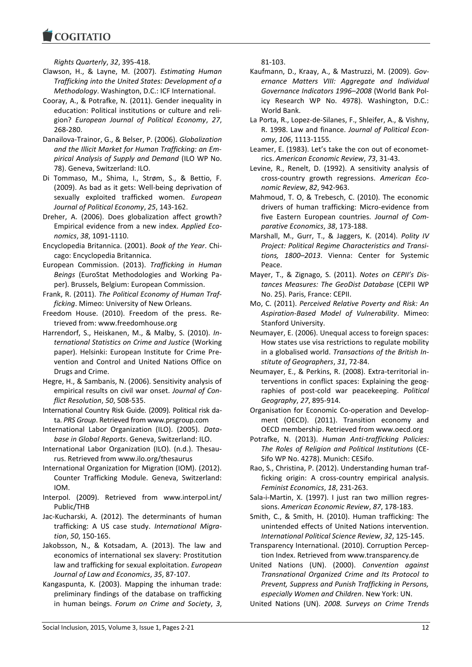*Rights Quarterly*, *32*, 395-418.

**COGITATIO** 

- Clawson, H., & Layne, M. (2007). *Estimating Human Trafficking into the United States: Development of a Methodology*. Washington, D.C.: ICF International.
- Cooray, A., & Potrafke, N. (2011). Gender inequality in education: Political institutions or culture and religion? *European Journal of Political Economy*, *27*, 268-280.
- Danailova-Trainor, G., & Belser, P. (2006). *Globalization and the Illicit Market for Human Trafficking: an Empirical Analysis of Supply and Demand* (ILO WP No. 78). Geneva, Switzerland: ILO.
- Di Tommaso, M., Shima, I., Strøm, S., & Bettio, F. (2009). As bad as it gets: Well-being deprivation of sexually exploited trafficked women. *European Journal of Political Economy*, *25*, 143-162.
- Dreher, A. (2006). Does globalization affect growth? Empirical evidence from a new index. *Applied Economics*, *38*, 1091-1110.
- Encyclopedia Britannica. (2001). *Book of the Year*. Chicago: Encyclopedia Britannica.
- European Commission. (2013). *Trafficking in Human Beings* (EuroStat Methodologies and Working Paper). Brussels, Belgium: European Commission.
- Frank, R. (2011). *The Political Economy of Human Trafficking*. Mimeo: University of New Orleans.
- Freedom House. (2010). Freedom of the press. Retrieved from: www.freedomhouse.org
- Harrendorf, S., Heiskanen, M., & Malby, S. (2010). *International Statistics on Crime and Justice* (Working paper). Helsinki: European Institute for Crime Prevention and Control and United Nations Office on Drugs and Crime.
- Hegre, H., & Sambanis, N. (2006). Sensitivity analysis of empirical results on civil war onset. *Journal of Conflict Resolution*, *50*, 508-535.
- International Country Risk Guide. (2009). Political risk data. *PRS Group*. Retrieved from www.prsgroup.com
- International Labor Organization (ILO). (2005). *Database in Global Reports*. Geneva, Switzerland: ILO.
- International Labor Organization (ILO). (n.d.). Thesaurus. Retrieved from www.ilo.org/thesaurus
- International Organization for Migration (IOM). (2012). Counter Trafficking Module. Geneva, Switzerland: IOM.
- Interpol. (2009). Retrieved from www.interpol.int/ Public/THB
- Jac-Kucharski, A. (2012). The determinants of human trafficking: A US case study. *International Migration*, *50*, 150-165.
- Jakobsson, N., & Kotsadam, A. (2013). The law and economics of international sex slavery: Prostitution law and trafficking for sexual exploitation. *European Journal of Law and Economics*, *35*, 87-107.
- Kangaspunta, K. (2003). Mapping the inhuman trade: preliminary findings of the database on trafficking in human beings. *Forum on Crime and Society*, *3*,

81-103.

- Kaufmann, D., Kraay, A., & Mastruzzi, M. (2009). *Governance Matters VIII: Aggregate and Individual Governance Indicators 1996–2008* (World Bank Policy Research WP No. 4978). Washington, D.C.: World Bank.
- La Porta, R., Lopez-de-Silanes, F., Shleifer, A., & Vishny, R. 1998. Law and finance. *Journal of Political Economy*, *106*, 1113-1155.
- Leamer, E. (1983). Let's take the con out of econometrics. *American Economic Review*, *73*, 31-43.
- Levine, R., Renelt, D. (1992). A sensitivity analysis of cross-country growth regressions. *American Economic Review*, *82*, 942-963.
- Mahmoud, T. O, & Trebesch, C. (2010). The economic drivers of human trafficking: Micro-evidence from five Eastern European countries. *Journal of Comparative Economics*, *38*, 173-188.
- Marshall, M., Gurr, T., & Jaggers, K. (2014). *Polity IV Project: Political Regime Characteristics and Transitions, 1800–2013*. Vienna: Center for Systemic Peace.
- Mayer, T., & Zignago, S. (2011). *Notes on CEPII's Distances Measures: The GeoDist Database* (CEPII WP No. 25). Paris, France: CEPII.
- Mo, C. (2011). *Perceived Relative Poverty and Risk: An Aspiration-Based Model of Vulnerability*. Mimeo: Stanford University.
- Neumayer, E. (2006). Unequal access to foreign spaces: How states use visa restrictions to regulate mobility in a globalised world. *Transactions of the British Institute of Geographers*, *31*, 72-84.
- Neumayer, E., & Perkins, R. (2008). Extra-territorial interventions in conflict spaces: Explaining the geographies of post-cold war peacekeeping. *Political Geography*, *27*, 895-914.
- Organisation for Economic Co-operation and Development (OECD). (2011). Transition economy and OECD membership. Retrieved from www.oecd.org
- Potrafke, N. (2013). *Human Anti-trafficking Policies: The Roles of Religion and Political Institutions* (CE-Sifo WP No. 4278). Munich: CESifo.
- Rao, S., Christina, P. (2012). Understanding human trafficking origin: A cross-country empirical analysis. *Feminist Economics*, *18*, 231-263.
- Sala-i-Martin, X. (1997). I just ran two million regressions. *American Economic Review*, *87*, 178-183.
- Smith, C., & Smith, H. (2010). Human trafficking: The unintended effects of United Nations intervention. *International Political Science Review*, *32*, 125-145.
- Transparency International. (2010). Corruption Perception Index. Retrieved from www.transparency.de
- United Nations (UN). (2000). *Convention against Transnational Organized Crime and Its Protocol to Prevent, Suppress and Punish Trafficking in Persons, especially Women and Children*. New York: UN.
- United Nations (UN). *2008. Surveys on Crime Trends*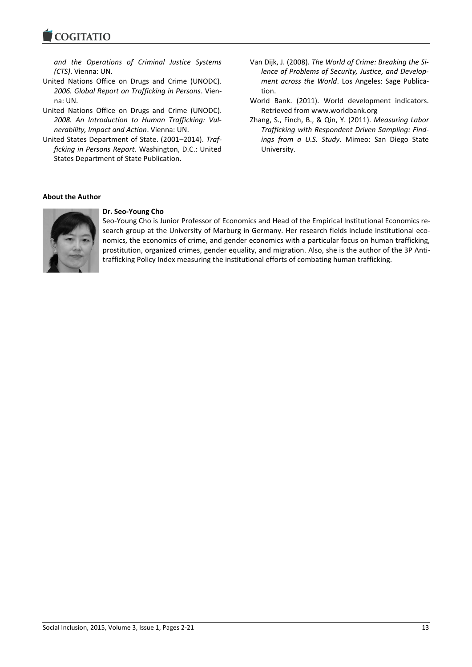*and the Operations of Criminal Justice Systems (CTS)*. Vienna: UN.

- United Nations Office on Drugs and Crime (UNODC). *2006. Global Report on Trafficking in Persons*. Vienna: UN.
- United Nations Office on Drugs and Crime (UNODC). *2008. An Introduction to Human Trafficking: Vulnerability, Impact and Action*. Vienna: UN.
- United States Department of State. (2001–2014). *Trafficking in Persons Report*. Washington, D.C.: United States Department of State Publication.
- Van Dijk, J. (2008). *The World of Crime: Breaking the Silence of Problems of Security, Justice, and Development across the World*. Los Angeles: Sage Publication.
- World Bank. (2011). World development indicators. Retrieved from www.worldbank.org
- Zhang, S., Finch, B., & Qin, Y. (2011). *Measuring Labor Trafficking with Respondent Driven Sampling: Findings from a U.S. Study*. Mimeo: San Diego State University.

## **About the Author**



## **Dr. Seo-Young Cho**

Seo-Young Cho is Junior Professor of Economics and Head of the Empirical Institutional Economics research group at the University of Marburg in Germany. Her research fields include institutional economics, the economics of crime, and gender economics with a particular focus on human trafficking, prostitution, organized crimes, gender equality, and migration. Also, she is the author of the 3P Antitrafficking Policy Index measuring the institutional efforts of combating human trafficking.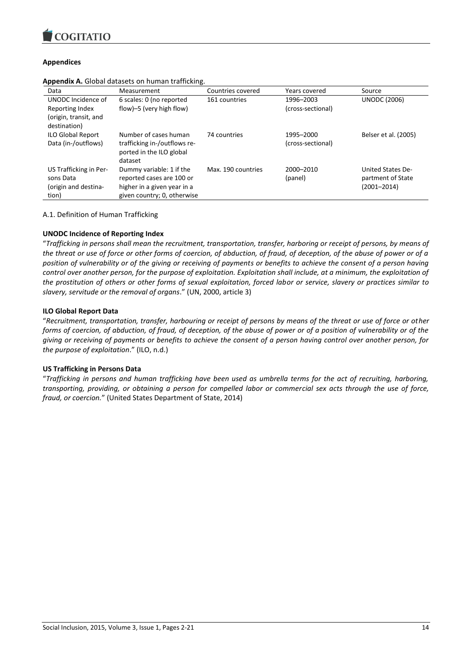

## **Appendices**

| Data                                                                 | Measurement                                                                                                         | Countries covered  | Years covered                  | Source                                                    |
|----------------------------------------------------------------------|---------------------------------------------------------------------------------------------------------------------|--------------------|--------------------------------|-----------------------------------------------------------|
| UNODC Incidence of<br>Reporting Index<br>(origin, transit, and       | 6 scales: 0 (no reported<br>flow)-5 (very high flow)                                                                | 161 countries      | 1996-2003<br>(cross-sectional) | <b>UNODC (2006)</b>                                       |
| destination)<br><b>ILO Global Report</b><br>Data (in-/outflows)      | Number of cases human<br>trafficking in-/outflows re-<br>ported in the ILO global<br>dataset                        | 74 countries       | 1995-2000<br>(cross-sectional) | Belser et al. (2005)                                      |
| US Trafficking in Per-<br>sons Data<br>(origin and destina-<br>tion) | Dummy variable: 1 if the<br>reported cases are 100 or<br>higher in a given year in a<br>given country; 0, otherwise | Max. 190 countries | 2000-2010<br>(panel)           | United States De-<br>partment of State<br>$(2001 - 2014)$ |

**Appendix A.** Global datasets on human trafficking.

A.1. Definition of Human Trafficking

## **UNODC Incidence of Reporting Index**

"*Trafficking in persons shall mean the recruitment, transportation, transfer, harboring or receipt of persons, by means of the threat or use of force or other forms of coercion, of abduction, of fraud, of deception, of the abuse of power or of a position of vulnerability or of the giving or receiving of payments or benefits to achieve the consent of a person having control over another person, for the purpose of exploitation. Exploitation shall include, at a minimum, the exploitation of the prostitution of others or other forms of sexual exploitation, forced labor or service, slavery or practices similar to slavery, servitude or the removal of organs*." (UN, 2000, article 3)

## **ILO Global Report Data**

"*Recruitment, transportation, transfer, harbouring or receipt of persons by means of the threat or use of force or other forms of coercion, of abduction, of fraud, of deception, of the abuse of power or of a position of vulnerability or of the giving or receiving of payments or benefits to achieve the consent of a person having control over another person, for the purpose of exploitation*." (ILO, n.d.)

## **US Trafficking in Persons Data**

"*Trafficking in persons and human trafficking have been used as umbrella terms for the act of recruiting, harboring, transporting, providing, or obtaining a person for compelled labor or commercial sex acts through the use of force, fraud, or coercion.*" (United States Department of State, 2014)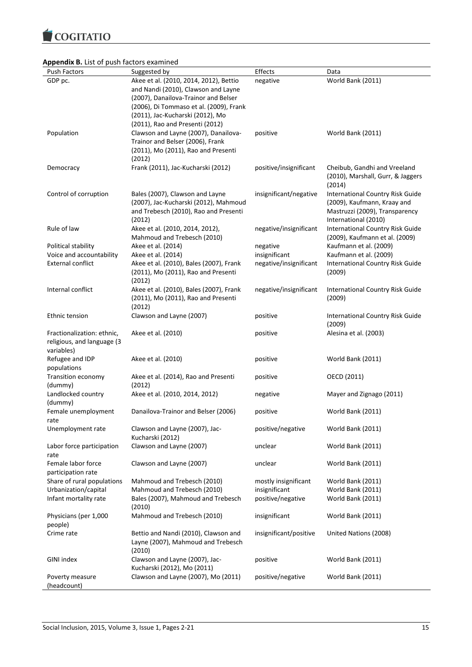COGITATIO

## **Appendix B.** List of push factors examined

| GDP pc.<br>Akee et al. (2010, 2014, 2012), Bettio<br>World Bank (2011)<br>negative<br>and Nandi (2010), Clawson and Layne<br>(2007), Danailova-Trainor and Belser<br>(2006), Di Tommaso et al. (2009), Frank<br>(2011), Jac-Kucharski (2012), Mo<br>(2011), Rao and Presenti (2012)<br>Population<br>Clawson and Layne (2007), Danailova-<br>positive<br>World Bank (2011)<br>Trainor and Belser (2006), Frank<br>(2011), Mo (2011), Rao and Presenti<br>(2012)<br>Frank (2011), Jac-Kucharski (2012)<br>positive/insignificant<br>Cheibub, Gandhi and Vreeland<br>Democracy<br>(2010), Marshall, Gurr, & Jaggers<br>(2014)<br>insignificant/negative<br>Control of corruption<br>Bales (2007), Clawson and Layne<br>International Country Risk Guide<br>(2007), Jac-Kucharski (2012), Mahmoud<br>(2009), Kaufmann, Kraay and<br>and Trebesch (2010), Rao and Presenti<br>Mastruzzi (2009), Transparency<br>(2012)<br>International (2010)<br>Rule of law<br><b>International Country Risk Guide</b><br>Akee et al. (2010, 2014, 2012),<br>negative/insignificant<br>Mahmoud and Trebesch (2010)<br>(2009), Kaufmann et al. (2009)<br>Akee et al. (2014)<br>negative<br>Kaufmann et al. (2009)<br>Political stability<br>Voice and accountability<br>insignificant<br>Kaufmann et al. (2009)<br>Akee et al. (2014)<br><b>External conflict</b><br>Akee et al. (2010), Bales (2007), Frank<br>negative/insignificant<br>International Country Risk Guide<br>(2011), Mo (2011), Rao and Presenti<br>(2009)<br>(2012)<br>Akee et al. (2010), Bales (2007), Frank<br>negative/insignificant<br>Internal conflict<br>International Country Risk Guide<br>(2011), Mo (2011), Rao and Presenti<br>(2009)<br>(2012)<br>Clawson and Layne (2007)<br>International Country Risk Guide<br>Ethnic tension<br>positive<br>(2009)<br>Fractionalization: ethnic,<br>Akee et al. (2010)<br>Alesina et al. (2003)<br>positive<br>religious, and language (3<br>variables)<br>Refugee and IDP<br>Akee et al. (2010)<br>positive<br>World Bank (2011)<br>populations<br>Transition economy<br>Akee et al. (2014), Rao and Presenti<br>OECD (2011)<br>positive<br>(2012)<br>(dummy)<br>Landlocked country<br>Akee et al. (2010, 2014, 2012)<br>Mayer and Zignago (2011)<br>negative<br>(dummy)<br>Female unemployment<br>World Bank (2011)<br>Danailova-Trainor and Belser (2006)<br>positive<br>rate<br>Clawson and Layne (2007), Jac-<br>positive/negative<br>World Bank (2011)<br>Unemployment rate<br>Kucharski (2012)<br>Clawson and Layne (2007)<br>Labor force participation<br>unclear<br>World Bank (2011)<br>rate<br>Female labor force<br>Clawson and Layne (2007)<br>unclear<br>World Bank (2011)<br>participation rate<br>Share of rural populations<br>Mahmoud and Trebesch (2010)<br>mostly insignificant<br>World Bank (2011)<br>Urbanization/capital<br>Mahmoud and Trebesch (2010)<br>insignificant<br>World Bank (2011)<br>Infant mortality rate<br>Bales (2007), Mahmoud and Trebesch<br>positive/negative<br>World Bank (2011)<br>(2010)<br>Physicians (per 1,000<br>Mahmoud and Trebesch (2010)<br>insignificant<br>World Bank (2011)<br>people)<br>Crime rate<br>Bettio and Nandi (2010), Clawson and<br>insignificant/positive<br>United Nations (2008)<br>Layne (2007), Mahmoud and Trebesch<br>(2010)<br>GINI index<br>Clawson and Layne (2007), Jac-<br>positive<br>World Bank (2011)<br>Kucharski (2012), Mo (2011)<br>Clawson and Layne (2007), Mo (2011)<br>positive/negative<br>World Bank (2011)<br>Poverty measure | <b>PPCHUIA D.</b> LISE OF PUSH TUCLOTS CAUTHINGU<br>Push Factors | Suggested by | Effects | Data |
|---------------------------------------------------------------------------------------------------------------------------------------------------------------------------------------------------------------------------------------------------------------------------------------------------------------------------------------------------------------------------------------------------------------------------------------------------------------------------------------------------------------------------------------------------------------------------------------------------------------------------------------------------------------------------------------------------------------------------------------------------------------------------------------------------------------------------------------------------------------------------------------------------------------------------------------------------------------------------------------------------------------------------------------------------------------------------------------------------------------------------------------------------------------------------------------------------------------------------------------------------------------------------------------------------------------------------------------------------------------------------------------------------------------------------------------------------------------------------------------------------------------------------------------------------------------------------------------------------------------------------------------------------------------------------------------------------------------------------------------------------------------------------------------------------------------------------------------------------------------------------------------------------------------------------------------------------------------------------------------------------------------------------------------------------------------------------------------------------------------------------------------------------------------------------------------------------------------------------------------------------------------------------------------------------------------------------------------------------------------------------------------------------------------------------------------------------------------------------------------------------------------------------------------------------------------------------------------------------------------------------------------------------------------------------------------------------------------------------------------------------------------------------------------------------------------------------------------------------------------------------------------------------------------------------------------------------------------------------------------------------------------------------------------------------------------------------------------------------------------------------------------------------------------------------------------------------------------------------------------------------------------------------------------------------------------------------------------------------------------------------------------------------------------------------------------------------------------------------------------------------------------------------------|------------------------------------------------------------------|--------------|---------|------|
|                                                                                                                                                                                                                                                                                                                                                                                                                                                                                                                                                                                                                                                                                                                                                                                                                                                                                                                                                                                                                                                                                                                                                                                                                                                                                                                                                                                                                                                                                                                                                                                                                                                                                                                                                                                                                                                                                                                                                                                                                                                                                                                                                                                                                                                                                                                                                                                                                                                                                                                                                                                                                                                                                                                                                                                                                                                                                                                                                                                                                                                                                                                                                                                                                                                                                                                                                                                                                                                                                                                                 |                                                                  |              |         |      |
|                                                                                                                                                                                                                                                                                                                                                                                                                                                                                                                                                                                                                                                                                                                                                                                                                                                                                                                                                                                                                                                                                                                                                                                                                                                                                                                                                                                                                                                                                                                                                                                                                                                                                                                                                                                                                                                                                                                                                                                                                                                                                                                                                                                                                                                                                                                                                                                                                                                                                                                                                                                                                                                                                                                                                                                                                                                                                                                                                                                                                                                                                                                                                                                                                                                                                                                                                                                                                                                                                                                                 |                                                                  |              |         |      |
|                                                                                                                                                                                                                                                                                                                                                                                                                                                                                                                                                                                                                                                                                                                                                                                                                                                                                                                                                                                                                                                                                                                                                                                                                                                                                                                                                                                                                                                                                                                                                                                                                                                                                                                                                                                                                                                                                                                                                                                                                                                                                                                                                                                                                                                                                                                                                                                                                                                                                                                                                                                                                                                                                                                                                                                                                                                                                                                                                                                                                                                                                                                                                                                                                                                                                                                                                                                                                                                                                                                                 |                                                                  |              |         |      |
|                                                                                                                                                                                                                                                                                                                                                                                                                                                                                                                                                                                                                                                                                                                                                                                                                                                                                                                                                                                                                                                                                                                                                                                                                                                                                                                                                                                                                                                                                                                                                                                                                                                                                                                                                                                                                                                                                                                                                                                                                                                                                                                                                                                                                                                                                                                                                                                                                                                                                                                                                                                                                                                                                                                                                                                                                                                                                                                                                                                                                                                                                                                                                                                                                                                                                                                                                                                                                                                                                                                                 |                                                                  |              |         |      |
|                                                                                                                                                                                                                                                                                                                                                                                                                                                                                                                                                                                                                                                                                                                                                                                                                                                                                                                                                                                                                                                                                                                                                                                                                                                                                                                                                                                                                                                                                                                                                                                                                                                                                                                                                                                                                                                                                                                                                                                                                                                                                                                                                                                                                                                                                                                                                                                                                                                                                                                                                                                                                                                                                                                                                                                                                                                                                                                                                                                                                                                                                                                                                                                                                                                                                                                                                                                                                                                                                                                                 |                                                                  |              |         |      |
|                                                                                                                                                                                                                                                                                                                                                                                                                                                                                                                                                                                                                                                                                                                                                                                                                                                                                                                                                                                                                                                                                                                                                                                                                                                                                                                                                                                                                                                                                                                                                                                                                                                                                                                                                                                                                                                                                                                                                                                                                                                                                                                                                                                                                                                                                                                                                                                                                                                                                                                                                                                                                                                                                                                                                                                                                                                                                                                                                                                                                                                                                                                                                                                                                                                                                                                                                                                                                                                                                                                                 |                                                                  |              |         |      |
|                                                                                                                                                                                                                                                                                                                                                                                                                                                                                                                                                                                                                                                                                                                                                                                                                                                                                                                                                                                                                                                                                                                                                                                                                                                                                                                                                                                                                                                                                                                                                                                                                                                                                                                                                                                                                                                                                                                                                                                                                                                                                                                                                                                                                                                                                                                                                                                                                                                                                                                                                                                                                                                                                                                                                                                                                                                                                                                                                                                                                                                                                                                                                                                                                                                                                                                                                                                                                                                                                                                                 |                                                                  |              |         |      |
|                                                                                                                                                                                                                                                                                                                                                                                                                                                                                                                                                                                                                                                                                                                                                                                                                                                                                                                                                                                                                                                                                                                                                                                                                                                                                                                                                                                                                                                                                                                                                                                                                                                                                                                                                                                                                                                                                                                                                                                                                                                                                                                                                                                                                                                                                                                                                                                                                                                                                                                                                                                                                                                                                                                                                                                                                                                                                                                                                                                                                                                                                                                                                                                                                                                                                                                                                                                                                                                                                                                                 |                                                                  |              |         |      |
|                                                                                                                                                                                                                                                                                                                                                                                                                                                                                                                                                                                                                                                                                                                                                                                                                                                                                                                                                                                                                                                                                                                                                                                                                                                                                                                                                                                                                                                                                                                                                                                                                                                                                                                                                                                                                                                                                                                                                                                                                                                                                                                                                                                                                                                                                                                                                                                                                                                                                                                                                                                                                                                                                                                                                                                                                                                                                                                                                                                                                                                                                                                                                                                                                                                                                                                                                                                                                                                                                                                                 |                                                                  |              |         |      |
|                                                                                                                                                                                                                                                                                                                                                                                                                                                                                                                                                                                                                                                                                                                                                                                                                                                                                                                                                                                                                                                                                                                                                                                                                                                                                                                                                                                                                                                                                                                                                                                                                                                                                                                                                                                                                                                                                                                                                                                                                                                                                                                                                                                                                                                                                                                                                                                                                                                                                                                                                                                                                                                                                                                                                                                                                                                                                                                                                                                                                                                                                                                                                                                                                                                                                                                                                                                                                                                                                                                                 |                                                                  |              |         |      |
|                                                                                                                                                                                                                                                                                                                                                                                                                                                                                                                                                                                                                                                                                                                                                                                                                                                                                                                                                                                                                                                                                                                                                                                                                                                                                                                                                                                                                                                                                                                                                                                                                                                                                                                                                                                                                                                                                                                                                                                                                                                                                                                                                                                                                                                                                                                                                                                                                                                                                                                                                                                                                                                                                                                                                                                                                                                                                                                                                                                                                                                                                                                                                                                                                                                                                                                                                                                                                                                                                                                                 |                                                                  |              |         |      |
|                                                                                                                                                                                                                                                                                                                                                                                                                                                                                                                                                                                                                                                                                                                                                                                                                                                                                                                                                                                                                                                                                                                                                                                                                                                                                                                                                                                                                                                                                                                                                                                                                                                                                                                                                                                                                                                                                                                                                                                                                                                                                                                                                                                                                                                                                                                                                                                                                                                                                                                                                                                                                                                                                                                                                                                                                                                                                                                                                                                                                                                                                                                                                                                                                                                                                                                                                                                                                                                                                                                                 |                                                                  |              |         |      |
|                                                                                                                                                                                                                                                                                                                                                                                                                                                                                                                                                                                                                                                                                                                                                                                                                                                                                                                                                                                                                                                                                                                                                                                                                                                                                                                                                                                                                                                                                                                                                                                                                                                                                                                                                                                                                                                                                                                                                                                                                                                                                                                                                                                                                                                                                                                                                                                                                                                                                                                                                                                                                                                                                                                                                                                                                                                                                                                                                                                                                                                                                                                                                                                                                                                                                                                                                                                                                                                                                                                                 |                                                                  |              |         |      |
|                                                                                                                                                                                                                                                                                                                                                                                                                                                                                                                                                                                                                                                                                                                                                                                                                                                                                                                                                                                                                                                                                                                                                                                                                                                                                                                                                                                                                                                                                                                                                                                                                                                                                                                                                                                                                                                                                                                                                                                                                                                                                                                                                                                                                                                                                                                                                                                                                                                                                                                                                                                                                                                                                                                                                                                                                                                                                                                                                                                                                                                                                                                                                                                                                                                                                                                                                                                                                                                                                                                                 |                                                                  |              |         |      |
|                                                                                                                                                                                                                                                                                                                                                                                                                                                                                                                                                                                                                                                                                                                                                                                                                                                                                                                                                                                                                                                                                                                                                                                                                                                                                                                                                                                                                                                                                                                                                                                                                                                                                                                                                                                                                                                                                                                                                                                                                                                                                                                                                                                                                                                                                                                                                                                                                                                                                                                                                                                                                                                                                                                                                                                                                                                                                                                                                                                                                                                                                                                                                                                                                                                                                                                                                                                                                                                                                                                                 |                                                                  |              |         |      |
|                                                                                                                                                                                                                                                                                                                                                                                                                                                                                                                                                                                                                                                                                                                                                                                                                                                                                                                                                                                                                                                                                                                                                                                                                                                                                                                                                                                                                                                                                                                                                                                                                                                                                                                                                                                                                                                                                                                                                                                                                                                                                                                                                                                                                                                                                                                                                                                                                                                                                                                                                                                                                                                                                                                                                                                                                                                                                                                                                                                                                                                                                                                                                                                                                                                                                                                                                                                                                                                                                                                                 |                                                                  |              |         |      |
|                                                                                                                                                                                                                                                                                                                                                                                                                                                                                                                                                                                                                                                                                                                                                                                                                                                                                                                                                                                                                                                                                                                                                                                                                                                                                                                                                                                                                                                                                                                                                                                                                                                                                                                                                                                                                                                                                                                                                                                                                                                                                                                                                                                                                                                                                                                                                                                                                                                                                                                                                                                                                                                                                                                                                                                                                                                                                                                                                                                                                                                                                                                                                                                                                                                                                                                                                                                                                                                                                                                                 |                                                                  |              |         |      |
|                                                                                                                                                                                                                                                                                                                                                                                                                                                                                                                                                                                                                                                                                                                                                                                                                                                                                                                                                                                                                                                                                                                                                                                                                                                                                                                                                                                                                                                                                                                                                                                                                                                                                                                                                                                                                                                                                                                                                                                                                                                                                                                                                                                                                                                                                                                                                                                                                                                                                                                                                                                                                                                                                                                                                                                                                                                                                                                                                                                                                                                                                                                                                                                                                                                                                                                                                                                                                                                                                                                                 |                                                                  |              |         |      |
|                                                                                                                                                                                                                                                                                                                                                                                                                                                                                                                                                                                                                                                                                                                                                                                                                                                                                                                                                                                                                                                                                                                                                                                                                                                                                                                                                                                                                                                                                                                                                                                                                                                                                                                                                                                                                                                                                                                                                                                                                                                                                                                                                                                                                                                                                                                                                                                                                                                                                                                                                                                                                                                                                                                                                                                                                                                                                                                                                                                                                                                                                                                                                                                                                                                                                                                                                                                                                                                                                                                                 |                                                                  |              |         |      |
|                                                                                                                                                                                                                                                                                                                                                                                                                                                                                                                                                                                                                                                                                                                                                                                                                                                                                                                                                                                                                                                                                                                                                                                                                                                                                                                                                                                                                                                                                                                                                                                                                                                                                                                                                                                                                                                                                                                                                                                                                                                                                                                                                                                                                                                                                                                                                                                                                                                                                                                                                                                                                                                                                                                                                                                                                                                                                                                                                                                                                                                                                                                                                                                                                                                                                                                                                                                                                                                                                                                                 |                                                                  |              |         |      |
|                                                                                                                                                                                                                                                                                                                                                                                                                                                                                                                                                                                                                                                                                                                                                                                                                                                                                                                                                                                                                                                                                                                                                                                                                                                                                                                                                                                                                                                                                                                                                                                                                                                                                                                                                                                                                                                                                                                                                                                                                                                                                                                                                                                                                                                                                                                                                                                                                                                                                                                                                                                                                                                                                                                                                                                                                                                                                                                                                                                                                                                                                                                                                                                                                                                                                                                                                                                                                                                                                                                                 |                                                                  |              |         |      |
|                                                                                                                                                                                                                                                                                                                                                                                                                                                                                                                                                                                                                                                                                                                                                                                                                                                                                                                                                                                                                                                                                                                                                                                                                                                                                                                                                                                                                                                                                                                                                                                                                                                                                                                                                                                                                                                                                                                                                                                                                                                                                                                                                                                                                                                                                                                                                                                                                                                                                                                                                                                                                                                                                                                                                                                                                                                                                                                                                                                                                                                                                                                                                                                                                                                                                                                                                                                                                                                                                                                                 |                                                                  |              |         |      |
|                                                                                                                                                                                                                                                                                                                                                                                                                                                                                                                                                                                                                                                                                                                                                                                                                                                                                                                                                                                                                                                                                                                                                                                                                                                                                                                                                                                                                                                                                                                                                                                                                                                                                                                                                                                                                                                                                                                                                                                                                                                                                                                                                                                                                                                                                                                                                                                                                                                                                                                                                                                                                                                                                                                                                                                                                                                                                                                                                                                                                                                                                                                                                                                                                                                                                                                                                                                                                                                                                                                                 |                                                                  |              |         |      |
|                                                                                                                                                                                                                                                                                                                                                                                                                                                                                                                                                                                                                                                                                                                                                                                                                                                                                                                                                                                                                                                                                                                                                                                                                                                                                                                                                                                                                                                                                                                                                                                                                                                                                                                                                                                                                                                                                                                                                                                                                                                                                                                                                                                                                                                                                                                                                                                                                                                                                                                                                                                                                                                                                                                                                                                                                                                                                                                                                                                                                                                                                                                                                                                                                                                                                                                                                                                                                                                                                                                                 |                                                                  |              |         |      |
|                                                                                                                                                                                                                                                                                                                                                                                                                                                                                                                                                                                                                                                                                                                                                                                                                                                                                                                                                                                                                                                                                                                                                                                                                                                                                                                                                                                                                                                                                                                                                                                                                                                                                                                                                                                                                                                                                                                                                                                                                                                                                                                                                                                                                                                                                                                                                                                                                                                                                                                                                                                                                                                                                                                                                                                                                                                                                                                                                                                                                                                                                                                                                                                                                                                                                                                                                                                                                                                                                                                                 |                                                                  |              |         |      |
|                                                                                                                                                                                                                                                                                                                                                                                                                                                                                                                                                                                                                                                                                                                                                                                                                                                                                                                                                                                                                                                                                                                                                                                                                                                                                                                                                                                                                                                                                                                                                                                                                                                                                                                                                                                                                                                                                                                                                                                                                                                                                                                                                                                                                                                                                                                                                                                                                                                                                                                                                                                                                                                                                                                                                                                                                                                                                                                                                                                                                                                                                                                                                                                                                                                                                                                                                                                                                                                                                                                                 |                                                                  |              |         |      |
|                                                                                                                                                                                                                                                                                                                                                                                                                                                                                                                                                                                                                                                                                                                                                                                                                                                                                                                                                                                                                                                                                                                                                                                                                                                                                                                                                                                                                                                                                                                                                                                                                                                                                                                                                                                                                                                                                                                                                                                                                                                                                                                                                                                                                                                                                                                                                                                                                                                                                                                                                                                                                                                                                                                                                                                                                                                                                                                                                                                                                                                                                                                                                                                                                                                                                                                                                                                                                                                                                                                                 |                                                                  |              |         |      |
|                                                                                                                                                                                                                                                                                                                                                                                                                                                                                                                                                                                                                                                                                                                                                                                                                                                                                                                                                                                                                                                                                                                                                                                                                                                                                                                                                                                                                                                                                                                                                                                                                                                                                                                                                                                                                                                                                                                                                                                                                                                                                                                                                                                                                                                                                                                                                                                                                                                                                                                                                                                                                                                                                                                                                                                                                                                                                                                                                                                                                                                                                                                                                                                                                                                                                                                                                                                                                                                                                                                                 |                                                                  |              |         |      |
|                                                                                                                                                                                                                                                                                                                                                                                                                                                                                                                                                                                                                                                                                                                                                                                                                                                                                                                                                                                                                                                                                                                                                                                                                                                                                                                                                                                                                                                                                                                                                                                                                                                                                                                                                                                                                                                                                                                                                                                                                                                                                                                                                                                                                                                                                                                                                                                                                                                                                                                                                                                                                                                                                                                                                                                                                                                                                                                                                                                                                                                                                                                                                                                                                                                                                                                                                                                                                                                                                                                                 |                                                                  |              |         |      |
|                                                                                                                                                                                                                                                                                                                                                                                                                                                                                                                                                                                                                                                                                                                                                                                                                                                                                                                                                                                                                                                                                                                                                                                                                                                                                                                                                                                                                                                                                                                                                                                                                                                                                                                                                                                                                                                                                                                                                                                                                                                                                                                                                                                                                                                                                                                                                                                                                                                                                                                                                                                                                                                                                                                                                                                                                                                                                                                                                                                                                                                                                                                                                                                                                                                                                                                                                                                                                                                                                                                                 |                                                                  |              |         |      |
|                                                                                                                                                                                                                                                                                                                                                                                                                                                                                                                                                                                                                                                                                                                                                                                                                                                                                                                                                                                                                                                                                                                                                                                                                                                                                                                                                                                                                                                                                                                                                                                                                                                                                                                                                                                                                                                                                                                                                                                                                                                                                                                                                                                                                                                                                                                                                                                                                                                                                                                                                                                                                                                                                                                                                                                                                                                                                                                                                                                                                                                                                                                                                                                                                                                                                                                                                                                                                                                                                                                                 |                                                                  |              |         |      |
|                                                                                                                                                                                                                                                                                                                                                                                                                                                                                                                                                                                                                                                                                                                                                                                                                                                                                                                                                                                                                                                                                                                                                                                                                                                                                                                                                                                                                                                                                                                                                                                                                                                                                                                                                                                                                                                                                                                                                                                                                                                                                                                                                                                                                                                                                                                                                                                                                                                                                                                                                                                                                                                                                                                                                                                                                                                                                                                                                                                                                                                                                                                                                                                                                                                                                                                                                                                                                                                                                                                                 |                                                                  |              |         |      |
|                                                                                                                                                                                                                                                                                                                                                                                                                                                                                                                                                                                                                                                                                                                                                                                                                                                                                                                                                                                                                                                                                                                                                                                                                                                                                                                                                                                                                                                                                                                                                                                                                                                                                                                                                                                                                                                                                                                                                                                                                                                                                                                                                                                                                                                                                                                                                                                                                                                                                                                                                                                                                                                                                                                                                                                                                                                                                                                                                                                                                                                                                                                                                                                                                                                                                                                                                                                                                                                                                                                                 |                                                                  |              |         |      |
|                                                                                                                                                                                                                                                                                                                                                                                                                                                                                                                                                                                                                                                                                                                                                                                                                                                                                                                                                                                                                                                                                                                                                                                                                                                                                                                                                                                                                                                                                                                                                                                                                                                                                                                                                                                                                                                                                                                                                                                                                                                                                                                                                                                                                                                                                                                                                                                                                                                                                                                                                                                                                                                                                                                                                                                                                                                                                                                                                                                                                                                                                                                                                                                                                                                                                                                                                                                                                                                                                                                                 |                                                                  |              |         |      |
|                                                                                                                                                                                                                                                                                                                                                                                                                                                                                                                                                                                                                                                                                                                                                                                                                                                                                                                                                                                                                                                                                                                                                                                                                                                                                                                                                                                                                                                                                                                                                                                                                                                                                                                                                                                                                                                                                                                                                                                                                                                                                                                                                                                                                                                                                                                                                                                                                                                                                                                                                                                                                                                                                                                                                                                                                                                                                                                                                                                                                                                                                                                                                                                                                                                                                                                                                                                                                                                                                                                                 |                                                                  |              |         |      |
|                                                                                                                                                                                                                                                                                                                                                                                                                                                                                                                                                                                                                                                                                                                                                                                                                                                                                                                                                                                                                                                                                                                                                                                                                                                                                                                                                                                                                                                                                                                                                                                                                                                                                                                                                                                                                                                                                                                                                                                                                                                                                                                                                                                                                                                                                                                                                                                                                                                                                                                                                                                                                                                                                                                                                                                                                                                                                                                                                                                                                                                                                                                                                                                                                                                                                                                                                                                                                                                                                                                                 |                                                                  |              |         |      |
|                                                                                                                                                                                                                                                                                                                                                                                                                                                                                                                                                                                                                                                                                                                                                                                                                                                                                                                                                                                                                                                                                                                                                                                                                                                                                                                                                                                                                                                                                                                                                                                                                                                                                                                                                                                                                                                                                                                                                                                                                                                                                                                                                                                                                                                                                                                                                                                                                                                                                                                                                                                                                                                                                                                                                                                                                                                                                                                                                                                                                                                                                                                                                                                                                                                                                                                                                                                                                                                                                                                                 |                                                                  |              |         |      |
|                                                                                                                                                                                                                                                                                                                                                                                                                                                                                                                                                                                                                                                                                                                                                                                                                                                                                                                                                                                                                                                                                                                                                                                                                                                                                                                                                                                                                                                                                                                                                                                                                                                                                                                                                                                                                                                                                                                                                                                                                                                                                                                                                                                                                                                                                                                                                                                                                                                                                                                                                                                                                                                                                                                                                                                                                                                                                                                                                                                                                                                                                                                                                                                                                                                                                                                                                                                                                                                                                                                                 |                                                                  |              |         |      |
|                                                                                                                                                                                                                                                                                                                                                                                                                                                                                                                                                                                                                                                                                                                                                                                                                                                                                                                                                                                                                                                                                                                                                                                                                                                                                                                                                                                                                                                                                                                                                                                                                                                                                                                                                                                                                                                                                                                                                                                                                                                                                                                                                                                                                                                                                                                                                                                                                                                                                                                                                                                                                                                                                                                                                                                                                                                                                                                                                                                                                                                                                                                                                                                                                                                                                                                                                                                                                                                                                                                                 |                                                                  |              |         |      |
|                                                                                                                                                                                                                                                                                                                                                                                                                                                                                                                                                                                                                                                                                                                                                                                                                                                                                                                                                                                                                                                                                                                                                                                                                                                                                                                                                                                                                                                                                                                                                                                                                                                                                                                                                                                                                                                                                                                                                                                                                                                                                                                                                                                                                                                                                                                                                                                                                                                                                                                                                                                                                                                                                                                                                                                                                                                                                                                                                                                                                                                                                                                                                                                                                                                                                                                                                                                                                                                                                                                                 |                                                                  |              |         |      |
|                                                                                                                                                                                                                                                                                                                                                                                                                                                                                                                                                                                                                                                                                                                                                                                                                                                                                                                                                                                                                                                                                                                                                                                                                                                                                                                                                                                                                                                                                                                                                                                                                                                                                                                                                                                                                                                                                                                                                                                                                                                                                                                                                                                                                                                                                                                                                                                                                                                                                                                                                                                                                                                                                                                                                                                                                                                                                                                                                                                                                                                                                                                                                                                                                                                                                                                                                                                                                                                                                                                                 |                                                                  |              |         |      |
|                                                                                                                                                                                                                                                                                                                                                                                                                                                                                                                                                                                                                                                                                                                                                                                                                                                                                                                                                                                                                                                                                                                                                                                                                                                                                                                                                                                                                                                                                                                                                                                                                                                                                                                                                                                                                                                                                                                                                                                                                                                                                                                                                                                                                                                                                                                                                                                                                                                                                                                                                                                                                                                                                                                                                                                                                                                                                                                                                                                                                                                                                                                                                                                                                                                                                                                                                                                                                                                                                                                                 |                                                                  |              |         |      |
|                                                                                                                                                                                                                                                                                                                                                                                                                                                                                                                                                                                                                                                                                                                                                                                                                                                                                                                                                                                                                                                                                                                                                                                                                                                                                                                                                                                                                                                                                                                                                                                                                                                                                                                                                                                                                                                                                                                                                                                                                                                                                                                                                                                                                                                                                                                                                                                                                                                                                                                                                                                                                                                                                                                                                                                                                                                                                                                                                                                                                                                                                                                                                                                                                                                                                                                                                                                                                                                                                                                                 |                                                                  |              |         |      |
|                                                                                                                                                                                                                                                                                                                                                                                                                                                                                                                                                                                                                                                                                                                                                                                                                                                                                                                                                                                                                                                                                                                                                                                                                                                                                                                                                                                                                                                                                                                                                                                                                                                                                                                                                                                                                                                                                                                                                                                                                                                                                                                                                                                                                                                                                                                                                                                                                                                                                                                                                                                                                                                                                                                                                                                                                                                                                                                                                                                                                                                                                                                                                                                                                                                                                                                                                                                                                                                                                                                                 |                                                                  |              |         |      |
|                                                                                                                                                                                                                                                                                                                                                                                                                                                                                                                                                                                                                                                                                                                                                                                                                                                                                                                                                                                                                                                                                                                                                                                                                                                                                                                                                                                                                                                                                                                                                                                                                                                                                                                                                                                                                                                                                                                                                                                                                                                                                                                                                                                                                                                                                                                                                                                                                                                                                                                                                                                                                                                                                                                                                                                                                                                                                                                                                                                                                                                                                                                                                                                                                                                                                                                                                                                                                                                                                                                                 |                                                                  |              |         |      |
|                                                                                                                                                                                                                                                                                                                                                                                                                                                                                                                                                                                                                                                                                                                                                                                                                                                                                                                                                                                                                                                                                                                                                                                                                                                                                                                                                                                                                                                                                                                                                                                                                                                                                                                                                                                                                                                                                                                                                                                                                                                                                                                                                                                                                                                                                                                                                                                                                                                                                                                                                                                                                                                                                                                                                                                                                                                                                                                                                                                                                                                                                                                                                                                                                                                                                                                                                                                                                                                                                                                                 |                                                                  |              |         |      |
|                                                                                                                                                                                                                                                                                                                                                                                                                                                                                                                                                                                                                                                                                                                                                                                                                                                                                                                                                                                                                                                                                                                                                                                                                                                                                                                                                                                                                                                                                                                                                                                                                                                                                                                                                                                                                                                                                                                                                                                                                                                                                                                                                                                                                                                                                                                                                                                                                                                                                                                                                                                                                                                                                                                                                                                                                                                                                                                                                                                                                                                                                                                                                                                                                                                                                                                                                                                                                                                                                                                                 |                                                                  |              |         |      |
|                                                                                                                                                                                                                                                                                                                                                                                                                                                                                                                                                                                                                                                                                                                                                                                                                                                                                                                                                                                                                                                                                                                                                                                                                                                                                                                                                                                                                                                                                                                                                                                                                                                                                                                                                                                                                                                                                                                                                                                                                                                                                                                                                                                                                                                                                                                                                                                                                                                                                                                                                                                                                                                                                                                                                                                                                                                                                                                                                                                                                                                                                                                                                                                                                                                                                                                                                                                                                                                                                                                                 |                                                                  |              |         |      |
|                                                                                                                                                                                                                                                                                                                                                                                                                                                                                                                                                                                                                                                                                                                                                                                                                                                                                                                                                                                                                                                                                                                                                                                                                                                                                                                                                                                                                                                                                                                                                                                                                                                                                                                                                                                                                                                                                                                                                                                                                                                                                                                                                                                                                                                                                                                                                                                                                                                                                                                                                                                                                                                                                                                                                                                                                                                                                                                                                                                                                                                                                                                                                                                                                                                                                                                                                                                                                                                                                                                                 |                                                                  |              |         |      |
|                                                                                                                                                                                                                                                                                                                                                                                                                                                                                                                                                                                                                                                                                                                                                                                                                                                                                                                                                                                                                                                                                                                                                                                                                                                                                                                                                                                                                                                                                                                                                                                                                                                                                                                                                                                                                                                                                                                                                                                                                                                                                                                                                                                                                                                                                                                                                                                                                                                                                                                                                                                                                                                                                                                                                                                                                                                                                                                                                                                                                                                                                                                                                                                                                                                                                                                                                                                                                                                                                                                                 |                                                                  |              |         |      |
|                                                                                                                                                                                                                                                                                                                                                                                                                                                                                                                                                                                                                                                                                                                                                                                                                                                                                                                                                                                                                                                                                                                                                                                                                                                                                                                                                                                                                                                                                                                                                                                                                                                                                                                                                                                                                                                                                                                                                                                                                                                                                                                                                                                                                                                                                                                                                                                                                                                                                                                                                                                                                                                                                                                                                                                                                                                                                                                                                                                                                                                                                                                                                                                                                                                                                                                                                                                                                                                                                                                                 |                                                                  |              |         |      |
|                                                                                                                                                                                                                                                                                                                                                                                                                                                                                                                                                                                                                                                                                                                                                                                                                                                                                                                                                                                                                                                                                                                                                                                                                                                                                                                                                                                                                                                                                                                                                                                                                                                                                                                                                                                                                                                                                                                                                                                                                                                                                                                                                                                                                                                                                                                                                                                                                                                                                                                                                                                                                                                                                                                                                                                                                                                                                                                                                                                                                                                                                                                                                                                                                                                                                                                                                                                                                                                                                                                                 |                                                                  |              |         |      |
|                                                                                                                                                                                                                                                                                                                                                                                                                                                                                                                                                                                                                                                                                                                                                                                                                                                                                                                                                                                                                                                                                                                                                                                                                                                                                                                                                                                                                                                                                                                                                                                                                                                                                                                                                                                                                                                                                                                                                                                                                                                                                                                                                                                                                                                                                                                                                                                                                                                                                                                                                                                                                                                                                                                                                                                                                                                                                                                                                                                                                                                                                                                                                                                                                                                                                                                                                                                                                                                                                                                                 |                                                                  |              |         |      |
|                                                                                                                                                                                                                                                                                                                                                                                                                                                                                                                                                                                                                                                                                                                                                                                                                                                                                                                                                                                                                                                                                                                                                                                                                                                                                                                                                                                                                                                                                                                                                                                                                                                                                                                                                                                                                                                                                                                                                                                                                                                                                                                                                                                                                                                                                                                                                                                                                                                                                                                                                                                                                                                                                                                                                                                                                                                                                                                                                                                                                                                                                                                                                                                                                                                                                                                                                                                                                                                                                                                                 |                                                                  |              |         |      |
|                                                                                                                                                                                                                                                                                                                                                                                                                                                                                                                                                                                                                                                                                                                                                                                                                                                                                                                                                                                                                                                                                                                                                                                                                                                                                                                                                                                                                                                                                                                                                                                                                                                                                                                                                                                                                                                                                                                                                                                                                                                                                                                                                                                                                                                                                                                                                                                                                                                                                                                                                                                                                                                                                                                                                                                                                                                                                                                                                                                                                                                                                                                                                                                                                                                                                                                                                                                                                                                                                                                                 | (headcount)                                                      |              |         |      |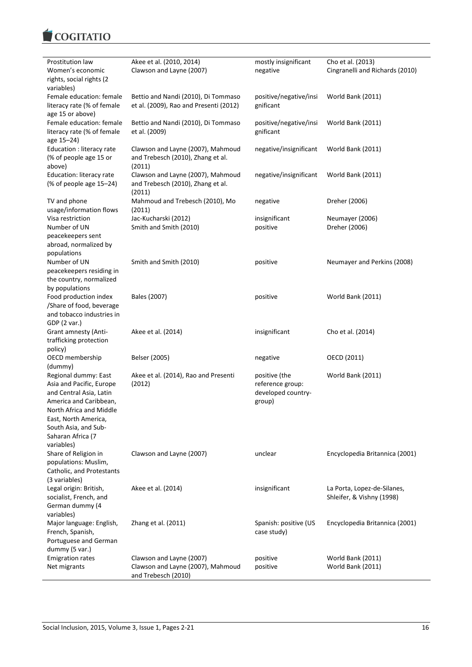

| Prostitution law           | Akee et al. (2010, 2014)               | mostly insignificant   | Cho et al. (2013)               |
|----------------------------|----------------------------------------|------------------------|---------------------------------|
| Women's economic           | Clawson and Layne (2007)               | negative               | Cingranelli and Richards (2010) |
| rights, social rights (2   |                                        |                        |                                 |
| variables)                 |                                        |                        |                                 |
| Female education: female   | Bettio and Nandi (2010), Di Tommaso    | positive/negative/insi | World Bank (2011)               |
| literacy rate (% of female | et al. (2009), Rao and Presenti (2012) | gnificant              |                                 |
| age 15 or above)           |                                        |                        |                                 |
| Female education: female   | Bettio and Nandi (2010), Di Tommaso    | positive/negative/insi | World Bank (2011)               |
| literacy rate (% of female | et al. (2009)                          | gnificant              |                                 |
| age 15-24)                 |                                        |                        |                                 |
| Education : literacy rate  | Clawson and Layne (2007), Mahmoud      | negative/insignificant | World Bank (2011)               |
| (% of people age 15 or     | and Trebesch (2010), Zhang et al.      |                        |                                 |
| above)                     | (2011)                                 |                        |                                 |
| Education: literacy rate   | Clawson and Layne (2007), Mahmoud      | negative/insignificant | World Bank (2011)               |
| (% of people age 15-24)    | and Trebesch (2010), Zhang et al.      |                        |                                 |
|                            | (2011)                                 |                        |                                 |
| TV and phone               | Mahmoud and Trebesch (2010), Mo        | negative               | Dreher (2006)                   |
| usage/information flows    | (2011)                                 |                        |                                 |
| Visa restriction           | Jac-Kucharski (2012)                   | insignificant          | Neumayer (2006)                 |
| Number of UN               | Smith and Smith (2010)                 | positive               | Dreher (2006)                   |
| peacekeepers sent          |                                        |                        |                                 |
| abroad, normalized by      |                                        |                        |                                 |
| populations                |                                        |                        |                                 |
| Number of UN               | Smith and Smith (2010)                 | positive               | Neumayer and Perkins (2008)     |
|                            |                                        |                        |                                 |
| peacekeepers residing in   |                                        |                        |                                 |
| the country, normalized    |                                        |                        |                                 |
| by populations             |                                        |                        |                                 |
| Food production index      | Bales (2007)                           | positive               | World Bank (2011)               |
| /Share of food, beverage   |                                        |                        |                                 |
| and tobacco industries in  |                                        |                        |                                 |
| GDP (2 var.)               |                                        |                        |                                 |
| Grant amnesty (Anti-       | Akee et al. (2014)                     | insignificant          | Cho et al. (2014)               |
| trafficking protection     |                                        |                        |                                 |
| policy)                    |                                        |                        |                                 |
| OECD membership            | Belser (2005)                          | negative               | OECD (2011)                     |
| (dummy)                    |                                        |                        |                                 |
| Regional dummy: East       | Akee et al. (2014), Rao and Presenti   | positive (the          | World Bank (2011)               |
| Asia and Pacific, Europe   | (2012)                                 | reference group:       |                                 |
| and Central Asia, Latin    |                                        | developed country-     |                                 |
| America and Caribbean,     |                                        | group)                 |                                 |
| North Africa and Middle    |                                        |                        |                                 |
| East, North America,       |                                        |                        |                                 |
| South Asia, and Sub-       |                                        |                        |                                 |
| Saharan Africa (7          |                                        |                        |                                 |
| variables)                 |                                        |                        |                                 |
| Share of Religion in       | Clawson and Layne (2007)               | unclear                | Encyclopedia Britannica (2001)  |
| populations: Muslim,       |                                        |                        |                                 |
| Catholic, and Protestants  |                                        |                        |                                 |
| (3 variables)              |                                        |                        |                                 |
| Legal origin: British,     | Akee et al. (2014)                     | insignificant          | La Porta, Lopez-de-Silanes,     |
| socialist, French, and     |                                        |                        | Shleifer, & Vishny (1998)       |
| German dummy (4            |                                        |                        |                                 |
| variables)                 |                                        |                        |                                 |
| Major language: English,   | Zhang et al. (2011)                    | Spanish: positive (US  | Encyclopedia Britannica (2001)  |
| French, Spanish,           |                                        | case study)            |                                 |
| Portuguese and German      |                                        |                        |                                 |
| dummy (5 var.)             |                                        |                        |                                 |
| <b>Emigration rates</b>    | Clawson and Layne (2007)               | positive               | World Bank (2011)               |
| Net migrants               | Clawson and Layne (2007), Mahmoud      | positive               | World Bank (2011)               |
|                            | and Trebesch (2010)                    |                        |                                 |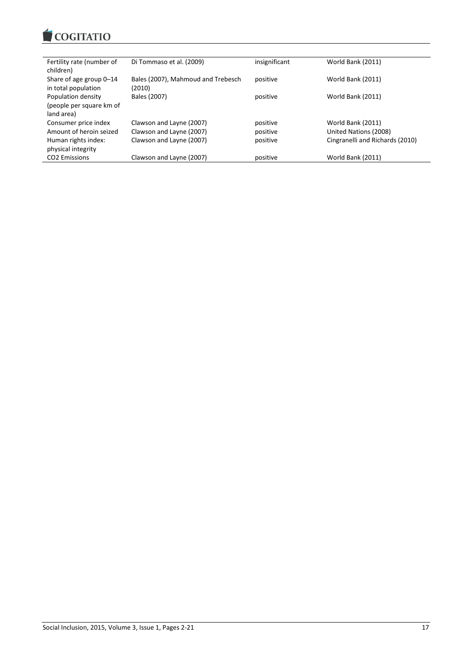

| Fertility rate (number of<br>children)                       | Di Tommaso et al. (2009)                     | insignificant | World Bank (2011)               |
|--------------------------------------------------------------|----------------------------------------------|---------------|---------------------------------|
| Share of age group 0-14<br>in total population               | Bales (2007), Mahmoud and Trebesch<br>(2010) | positive      | World Bank (2011)               |
| Population density<br>(people per square km of<br>land area) | Bales (2007)                                 | positive      | World Bank (2011)               |
| Consumer price index                                         | Clawson and Layne (2007)                     | positive      | World Bank (2011)               |
| Amount of heroin seized                                      | Clawson and Layne (2007)                     | positive      | United Nations (2008)           |
| Human rights index:<br>physical integrity                    | Clawson and Layne (2007)                     | positive      | Cingranelli and Richards (2010) |
| <b>CO2</b> Emissions                                         | Clawson and Layne (2007)                     | positive      | World Bank (2011)               |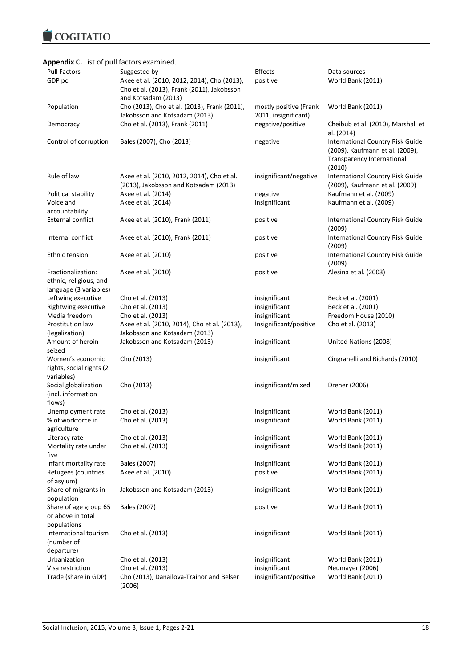COGITATIO

# **Appendix C.** List of pull factors examined.

| <b>PPCHAIR C.</b> LISE OF PUIL TUCLOTS CAUTHINGU. |                                              |                        |                                         |
|---------------------------------------------------|----------------------------------------------|------------------------|-----------------------------------------|
| <b>Pull Factors</b>                               | Suggested by                                 | Effects                | Data sources                            |
| GDP pc.                                           | Akee et al. (2010, 2012, 2014), Cho (2013),  | positive               | World Bank (2011)                       |
|                                                   | Cho et al. (2013), Frank (2011), Jakobsson   |                        |                                         |
|                                                   | and Kotsadam (2013)                          |                        |                                         |
| Population                                        | Cho (2013), Cho et al. (2013), Frank (2011), | mostly positive (Frank | World Bank (2011)                       |
|                                                   | Jakobsson and Kotsadam (2013)                | 2011, insignificant)   |                                         |
| Democracy                                         | Cho et al. (2013), Frank (2011)              | negative/positive      | Cheibub et al. (2010), Marshall et      |
|                                                   |                                              |                        |                                         |
|                                                   |                                              |                        | al. (2014)                              |
| Control of corruption                             | Bales (2007), Cho (2013)                     | negative               | <b>International Country Risk Guide</b> |
|                                                   |                                              |                        | (2009), Kaufmann et al. (2009),         |
|                                                   |                                              |                        | Transparency International              |
|                                                   |                                              |                        | (2010)                                  |
| Rule of law                                       | Akee et al. (2010, 2012, 2014), Cho et al.   | insignificant/negative | International Country Risk Guide        |
|                                                   | (2013), Jakobsson and Kotsadam (2013)        |                        | (2009), Kaufmann et al. (2009)          |
|                                                   |                                              |                        |                                         |
| Political stability                               | Akee et al. (2014)                           | negative               | Kaufmann et al. (2009)                  |
| Voice and                                         | Akee et al. (2014)                           | insignificant          | Kaufmann et al. (2009)                  |
| accountability                                    |                                              |                        |                                         |
| <b>External conflict</b>                          | Akee et al. (2010), Frank (2011)             | positive               | <b>International Country Risk Guide</b> |
|                                                   |                                              |                        | (2009)                                  |
| Internal conflict                                 | Akee et al. (2010), Frank (2011)             | positive               | <b>International Country Risk Guide</b> |
|                                                   |                                              |                        | (2009)                                  |
|                                                   |                                              |                        |                                         |
| Ethnic tension                                    | Akee et al. (2010)                           | positive               | <b>International Country Risk Guide</b> |
|                                                   |                                              |                        | (2009)                                  |
| Fractionalization:                                | Akee et al. (2010)                           | positive               | Alesina et al. (2003)                   |
| ethnic, religious, and                            |                                              |                        |                                         |
| language (3 variables)                            |                                              |                        |                                         |
| Leftwing executive                                | Cho et al. (2013)                            | insignificant          | Beck et al. (2001)                      |
| Rightwing executive                               | Cho et al. (2013)                            | insignificant          | Beck et al. (2001)                      |
|                                                   |                                              |                        |                                         |
| Media freedom                                     | Cho et al. (2013)                            | insignificant          | Freedom House (2010)                    |
| Prostitution law                                  | Akee et al. (2010, 2014), Cho et al. (2013), | Insignificant/positive | Cho et al. (2013)                       |
| (legalization)                                    | Jakobsson and Kotsadam (2013)                |                        |                                         |
| Amount of heroin                                  | Jakobsson and Kotsadam (2013)                | insignificant          | United Nations (2008)                   |
| seized                                            |                                              |                        |                                         |
| Women's economic                                  | Cho (2013)                                   | insignificant          | Cingranelli and Richards (2010)         |
| rights, social rights (2                          |                                              |                        |                                         |
| variables)                                        |                                              |                        |                                         |
|                                                   |                                              |                        |                                         |
| Social globalization                              | Cho (2013)                                   | insignificant/mixed    | Dreher (2006)                           |
| (incl. information                                |                                              |                        |                                         |
| flows)                                            |                                              |                        |                                         |
| Unemployment rate                                 | Cho et al. (2013)                            | insignificant          | World Bank (2011)                       |
| % of workforce in                                 | Cho et al. (2013)                            | insignificant          | World Bank (2011)                       |
| agriculture                                       |                                              |                        |                                         |
| Literacy rate                                     | Cho et al. (2013)                            | insignificant          | World Bank (2011)                       |
| Mortality rate under                              | Cho et al. (2013)                            | insignificant          | World Bank (2011)                       |
|                                                   |                                              |                        |                                         |
| five                                              |                                              |                        |                                         |
| Infant mortality rate                             | Bales (2007)                                 | insignificant          | World Bank (2011)                       |
| Refugees (countries                               | Akee et al. (2010)                           | positive               | World Bank (2011)                       |
| of asylum)                                        |                                              |                        |                                         |
| Share of migrants in                              | Jakobsson and Kotsadam (2013)                | insignificant          | World Bank (2011)                       |
| population                                        |                                              |                        |                                         |
| Share of age group 65                             | Bales (2007)                                 | positive               | World Bank (2011)                       |
| or above in total                                 |                                              |                        |                                         |
|                                                   |                                              |                        |                                         |
| populations                                       |                                              |                        |                                         |
| International tourism                             | Cho et al. (2013)                            | insignificant          | World Bank (2011)                       |
| (number of                                        |                                              |                        |                                         |
| departure)                                        |                                              |                        |                                         |
| Urbanization                                      | Cho et al. (2013)                            | insignificant          | World Bank (2011)                       |
| Visa restriction                                  | Cho et al. (2013)                            | insignificant          | Neumayer (2006)                         |
| Trade (share in GDP)                              | Cho (2013), Danailova-Trainor and Belser     | insignificant/positive | World Bank (2011)                       |
|                                                   | (2006)                                       |                        |                                         |
|                                                   |                                              |                        |                                         |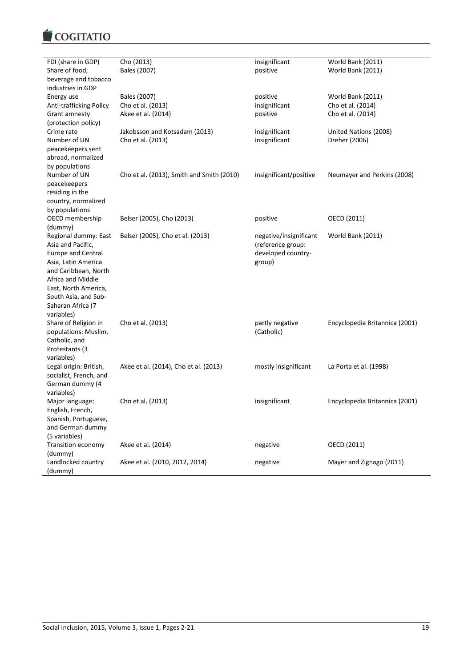

| FDI (share in GDP)                        | Cho (2013)                                | insignificant          | World Bank (2011)              |
|-------------------------------------------|-------------------------------------------|------------------------|--------------------------------|
| Share of food,                            | Bales (2007)                              | positive               | World Bank (2011)              |
| beverage and tobacco                      |                                           |                        |                                |
| industries in GDP                         |                                           |                        |                                |
| Energy use                                | Bales (2007)                              | positive               | World Bank (2011)              |
| Anti-trafficking Policy                   | Cho et al. (2013)                         | insignificant          | Cho et al. (2014)              |
| Grant amnesty                             | Akee et al. (2014)                        | positive               | Cho et al. (2014)              |
| (protection policy)                       |                                           |                        |                                |
| Crime rate                                | Jakobsson and Kotsadam (2013)             | insignificant          | United Nations (2008)          |
| Number of UN                              | Cho et al. (2013)                         | insignificant          | Dreher (2006)                  |
| peacekeepers sent                         |                                           |                        |                                |
| abroad, normalized                        |                                           |                        |                                |
| by populations<br>Number of UN            | Cho et al. (2013), Smith and Smith (2010) | insignificant/positive | Neumayer and Perkins (2008)    |
| peacekeepers                              |                                           |                        |                                |
| residing in the                           |                                           |                        |                                |
| country, normalized                       |                                           |                        |                                |
| by populations                            |                                           |                        |                                |
| OECD membership                           | Belser (2005), Cho (2013)                 | positive               | OECD (2011)                    |
| (dummy)                                   |                                           |                        |                                |
| Regional dummy: East                      | Belser (2005), Cho et al. (2013)          | negative/insignificant | World Bank (2011)              |
| Asia and Pacific,                         |                                           | (reference group:      |                                |
| <b>Europe and Central</b>                 |                                           | developed country-     |                                |
| Asia, Latin America                       |                                           | group)                 |                                |
| and Caribbean, North                      |                                           |                        |                                |
| Africa and Middle                         |                                           |                        |                                |
| East, North America,                      |                                           |                        |                                |
| South Asia, and Sub-                      |                                           |                        |                                |
| Saharan Africa (7                         |                                           |                        |                                |
| variables)                                |                                           |                        |                                |
| Share of Religion in                      | Cho et al. (2013)                         | partly negative        | Encyclopedia Britannica (2001) |
| populations: Muslim,                      |                                           | (Catholic)             |                                |
| Catholic, and                             |                                           |                        |                                |
| Protestants (3                            |                                           |                        |                                |
| variables)                                |                                           |                        |                                |
| Legal origin: British,                    | Akee et al. (2014), Cho et al. (2013)     | mostly insignificant   | La Porta et al. (1998)         |
| socialist, French, and<br>German dummy (4 |                                           |                        |                                |
| variables)                                |                                           |                        |                                |
| Major language:                           | Cho et al. (2013)                         | insignificant          | Encyclopedia Britannica (2001) |
| English, French,                          |                                           |                        |                                |
| Spanish, Portuguese,                      |                                           |                        |                                |
| and German dummy                          |                                           |                        |                                |
| (5 variables)                             |                                           |                        |                                |
| Transition economy                        | Akee et al. (2014)                        | negative               | OECD (2011)                    |
| (dummy)                                   |                                           |                        |                                |
| Landlocked country                        | Akee et al. (2010, 2012, 2014)            | negative               | Mayer and Zignago (2011)       |
| (dummy)                                   |                                           |                        |                                |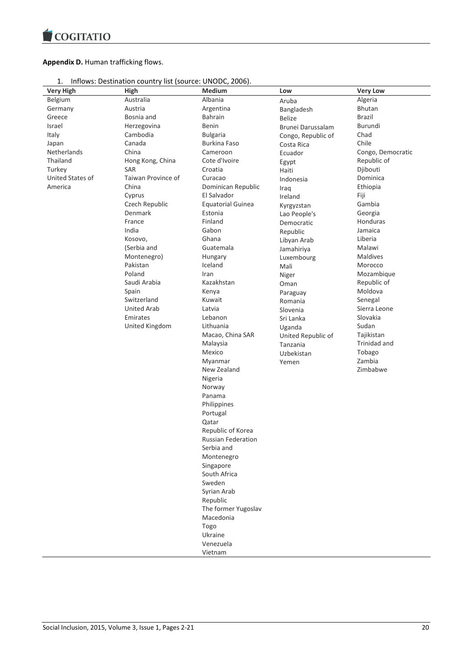

# **Appendix D.** Human trafficking flows.

|  | Inflows: Destination country list (source: UNODC, 2006). |  |  |  |  |
|--|----------------------------------------------------------|--|--|--|--|
|--|----------------------------------------------------------|--|--|--|--|

| <b>Very High</b> | High               | Medium                                         | Low                | <b>Very Low</b>   |
|------------------|--------------------|------------------------------------------------|--------------------|-------------------|
| Belgium          | Australia          | Albania                                        | Aruba              | Algeria           |
| Germany          | Austria            | Argentina                                      | Bangladesh         | <b>Bhutan</b>     |
| Greece           | Bosnia and         | <b>Bahrain</b>                                 | <b>Belize</b>      | Brazil            |
| Israel           | Herzegovina        | Benin                                          | Brunei Darussalam  | Burundi           |
| Italy            | Cambodia           | <b>Bulgaria</b>                                | Congo, Republic of | Chad              |
| Japan            | Canada             | <b>Burkina Faso</b>                            | Costa Rica         | Chile             |
| Netherlands      | China              | Cameroon                                       | Ecuador            | Congo, Democratic |
| Thailand         | Hong Kong, China   | Cote d'Ivoire                                  | Egypt              | Republic of       |
| Turkey           | SAR                | Croatia                                        | Haiti              | Djibouti          |
| United States of | Taiwan Province of | Curacao                                        | Indonesia          | Dominica          |
| America          | China              | Dominican Republic                             | Iraq               | Ethiopia          |
|                  | Cyprus             | El Salvador                                    | Ireland            | Fiji              |
|                  | Czech Republic     | <b>Equatorial Guinea</b>                       | Kyrgyzstan         | Gambia            |
|                  | Denmark            | Estonia                                        | Lao People's       | Georgia           |
|                  | France             | Finland                                        | Democratic         | Honduras          |
|                  | India              | Gabon                                          | Republic           | Jamaica           |
|                  | Kosovo,            | Ghana                                          | Libyan Arab        | Liberia           |
|                  | (Serbia and        | Guatemala                                      | Jamahiriya         | Malawi            |
|                  | Montenegro)        | Hungary                                        | Luxembourg         | Maldives          |
|                  | Pakistan           | Iceland                                        | Mali               | Morocco           |
|                  | Poland             | Iran                                           | Niger              | Mozambique        |
|                  | Saudi Arabia       | Kazakhstan                                     | Oman               | Republic of       |
|                  | Spain              | Kenya                                          | Paraguay           | Moldova           |
|                  | Switzerland        | Kuwait                                         | Romania            | Senegal           |
|                  | <b>United Arab</b> | Latvia                                         | Slovenia           | Sierra Leone      |
|                  | Emirates           | Lebanon                                        | Sri Lanka          | Slovakia          |
|                  | United Kingdom     | Lithuania                                      | Uganda             | Sudan             |
|                  |                    | Macao, China SAR                               | United Republic of | Tajikistan        |
|                  |                    | Malaysia                                       | Tanzania           | Trinidad and      |
|                  |                    | Mexico                                         | Uzbekistan         | Tobago            |
|                  |                    | Myanmar                                        | Yemen              | Zambia            |
|                  |                    | New Zealand                                    |                    | Zimbabwe          |
|                  |                    | Nigeria                                        |                    |                   |
|                  |                    | Norway                                         |                    |                   |
|                  |                    | Panama                                         |                    |                   |
|                  |                    | Philippines                                    |                    |                   |
|                  |                    | Portugal                                       |                    |                   |
|                  |                    | Qatar                                          |                    |                   |
|                  |                    | Republic of Korea<br><b>Russian Federation</b> |                    |                   |
|                  |                    | Serbia and                                     |                    |                   |
|                  |                    | Montenegro                                     |                    |                   |
|                  |                    | Singapore                                      |                    |                   |
|                  |                    | South Africa                                   |                    |                   |
|                  |                    | Sweden                                         |                    |                   |
|                  |                    | Syrian Arab                                    |                    |                   |
|                  |                    | Republic                                       |                    |                   |
|                  |                    | The former Yugoslav                            |                    |                   |
|                  |                    | Macedonia                                      |                    |                   |
|                  |                    | Togo                                           |                    |                   |
|                  |                    | Ukraine                                        |                    |                   |
|                  |                    | Venezuela                                      |                    |                   |
|                  |                    | Vietnam                                        |                    |                   |
|                  |                    |                                                |                    |                   |